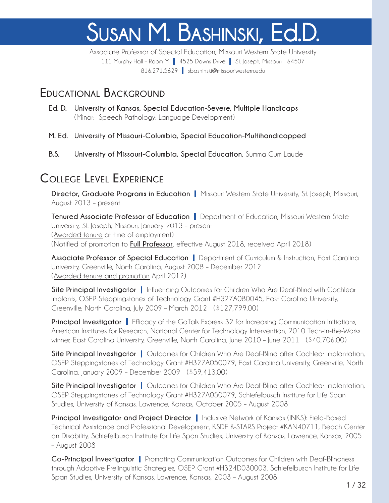# Susan M. Bashinski, Ed.D.

Associate Professor of Special Education, Missouri Western State University 111 Murphy Hall - Room M | 4525 Downs Drive | St. Joseph, Missouri 64507 816.271.5629 | sbashinski@missouriwestern.edu

#### **Educational Background**

- **Ed. D. University of Kansas, Special Education-Severe, Multiple Handicaps** (Minor: Speech Pathology: Language Development)
- **M. Ed. University of Missouri-Columbia, Special Education-Multihandicapped**
- **B.S. University of Missouri-Columbia, Special Education**, Summa Cum Laude

## **College Level Experience**

**Director, Graduate Programs in Education** | Missouri Western State University, St. Joseph, Missouri, August 2013 – present

**Tenured Associate Professor of Education** | Department of Education, Missouri Western State University, St. Joseph, Missouri, January 2013 – present (Awarded tenure at time of employment) (Notified of promotion to **Full Professor**, effective August 2018, received April 2018)

**Associate Professor of Special Education** | Department of Curriculum & Instruction, East Carolina University, Greenville, North Carolina, August 2008 – December 2012 (Awarded tenure and promotion April 2012)

**Site Principal Investigator** | Influencing Outcomes for Children Who Are Deaf-Blind with Cochlear Implants, OSEP Steppingstones of Technology Grant #H327A080045, East Carolina University, Greenville, North Carolina, July 2009 – March 2012 (\$127,799.00)

**Principal Investigator** | Efficacy of the GoTalk Express 32 for Increasing Communication Initiations, American Institutes for Research, National Center for Technology Intervention, 2010 Tech-in-the-Works winner, East Carolina University, Greenville, North Carolina, June 2010 – June 2011 (\$40,706.00)

**Site Principal Investigator** | Outcomes for Children Who Are Deaf-Blind after Cochlear Implantation, OSEP Steppingstones of Technology Grant #H327A050079, East Carolina University, Greenville, North Carolina, January 2009 – December 2009 (\$59,413.00)

**Site Principal Investigator** | Outcomes for Children Who Are Deaf-Blind after Cochlear Implantation, OSEP Steppingstones of Technology Grant #H327A050079, Schiefelbusch Institute for Life Span Studies, University of Kansas, Lawrence, Kansas, October 2005 – August 2008

**Principal Investigator and Project Director** | Inclusive Network of Kansas (INKS): Field-Based Technical Assistance and Professional Development, KSDE K-STARS Project #KAN40711, Beach Center on Disability, Schiefelbusch Institute for Life Span Studies, University of Kansas, Lawrence, Kansas, 2005 – August 2008

**Co-Principal Investigator** | Promoting Communication Outcomes for Children with Deaf-Blindness through Adaptive Prelinguistic Strategies, OSEP Grant #H324D030003, Schiefelbusch Institute for Life Span Studies, University of Kansas, Lawrence, Kansas, 2003 – August 2008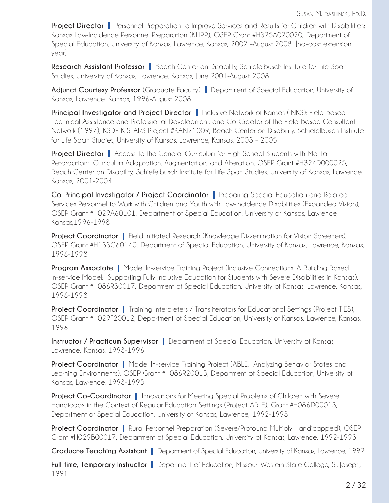**Project Director** | Personnel Preparation to Improve Services and Results for Children with Disabilities: Kansas Low-Incidence Personnel Preparation (KLIPP), OSEP Grant #H325A020020, Department of Special Education, University of Kansas, Lawrence, Kansas, 2002 –August 2008 [no-cost extension year]

**Research Assistant Professor** | Beach Center on Disability, Schiefelbusch Institute for Life Span Studies, University of Kansas, Lawrence, Kansas, June 2001-August 2008

**Adjunct Courtesy Professor** (Graduate Faculty) | Department of Special Education, University of Kansas, Lawrence, Kansas, 1996-August 2008

**Principal Investigator and Project Director** | Inclusive Network of Kansas (INKS): Field-Based Technical Assistance and Professional Development, and Co-Creator of the Field-Based Consultant Network (1997), KSDE K-STARS Project #KAN21009, Beach Center on Disability, Schiefelbusch Institute for Life Span Studies, University of Kansas, Lawrence, Kansas, 2003 – 2005

**Project Director** | Access to the General Curriculum for High School Students with Mental Retardation: Curriculum Adaptation, Augmentation, and Alteration, OSEP Grant #H324D000025, Beach Center on Disability, Schiefelbusch Institute for Life Span Studies, University of Kansas, Lawrence, Kansas, 2001-2004

**Co-Principal Investigator / Project Coordinator** | Preparing Special Education and Related Services Personnel to Work with Children and Youth with Low-Incidence Disabilities (Expanded Vision), OSEP Grant #H029A60101, Department of Special Education, University of Kansas, Lawrence, Kansas,1996-1998

**Project Coordinator** | Field Initiated Research (Knowledge Dissemination for Vision Screeners), OSEP Grant #H133G60140, Department of Special Education, University of Kansas, Lawrence, Kansas, 1996-1998

**Program Associate** | Model In-service Training Project (Inclusive Connections: A Building Based In-service Model: Supporting Fully Inclusive Education for Students with Severe Disabilities in Kansas), OSEP Grant #H086R30017, Department of Special Education, University of Kansas, Lawrence, Kansas, 1996-1998

**Project Coordinator** | Training Interpreters / Transliterators for Educational Settings (Project TIES), OSEP Grant #H029F20012, Department of Special Education, University of Kansas, Lawrence, Kansas, 1996

**Instructor / Practicum Supervisor** | Department of Special Education, University of Kansas, Lawrence, Kansas, 1993-1996

**Project Coordinator** | Model In-service Training Project (ABLE: Analyzing Behavior States and Learning Environments), OSEP Grant #H086R20015, Department of Special Education, University of Kansas, Lawrence, 1993-1995

**Project Co-Coordinator** | Innovations for Meeting Special Problems of Children with Severe Handicaps in the Context of Regular Education Settings (Project ABLE), Grant #H086D00013, Department of Special Education, University of Kansas, Lawrence, 1992-1993

**Project Coordinator** | Rural Personnel Preparation (Severe/Profound Multiply Handicapped), OSEP Grant #H029B00017, Department of Special Education, University of Kansas, Lawrence, 1992-1993

**Graduate Teaching Assistant** | Department of Special Education, University of Kansas, Lawrence, 1992

**Full-time, Temporary Instructor** | Department of Education, Missouri Western State College, St. Joseph, 1991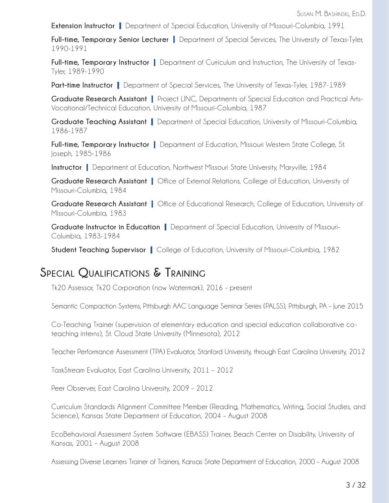**Extension Instructor** | Department of Special Education, University of Missouri-Columbia, 1991

**Full-time, Temporary Senior Lecturer** | Department of Special Services, The University of Texas-Tyler, 1990-1991

**Full-time, Temporary Instructor** | Department of Curriculum and Instruction, The University of Texas-Tyler, 1989-1990

**Part-time Instructor** | Department of Special Services, The University of Texas-Tyler, 1987-1989

**Graduate Research Assistant** | Project LINC, Departments of Special Education and Practical Arts-Vocational/Technical Education, University of Missouri-Columbia, 1987

**Graduate Teaching Assistant** | Department of Special Education, University of Missouri-Columbia, 1986-1987

**Full-time, Temporary Instructor** | Department of Education, Missouri Western State College, St. Joseph, 1985-1986

**Instructor** | Department of Education, Northwest Missouri State University, Maryville, 1984

**Graduate Research Assistant** | Office of External Relations, College of Education, University of Missouri-Columbia, 1984

**Graduate Research Assistant** | Office of Educational Research, College of Education, University of Missouri-Columbia, 1983

**Graduate Instructor in Education** | Department of Special Education, University of Missouri-Columbia, 1983-1984

**Student Teaching Supervisor** | College of Education, University of Missouri-Columbia, 1982

#### **Special Qualifications & Training**

Tk20 Assessor, Tk20 Corporation (now Watermark), 2016 - present

Semantic Compaction Systems, Pittsburgh AAC Language Seminar Series (PALSS), Pittsburgh, PA – June 2015

Co-Teaching Trainer (supervision of elementary education and special education collaborative coteaching interns), St. Cloud State University (Minnesota), 2012

Teacher Performance Assessment (TPA) Evaluator, Stanford University, through East Carolina University, 2012

TaskStream Evaluator, East Carolina University, 2011 – 2012

Peer Observer, East Carolina University, 2009 – 2012

Curriculum Standards Alignment Committee Member (Reading, Mathematics, Writing, Social Studies, and Science), Kansas State Department of Education, 2004 – August 2008

EcoBehavioral Assessment System Software (EBASS) Trainer, Beach Center on Disability, University of Kansas, 2001 – August 2008

Assessing Diverse Learners Trainer of Trainers, Kansas State Department of Education, 2000 – August 2008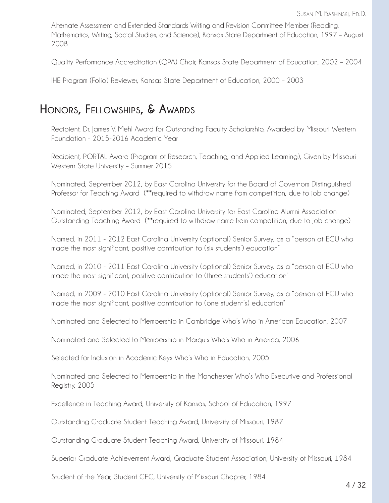Alternate Assessment and Extended Standards Writing and Revision Committee Member (Reading, Mathematics, Writing, Social Studies, and Science), Kansas State Department of Education, 1997 – August 2008

Quality Performance Accreditation (QPA) Chair, Kansas State Department of Education, 2002 – 2004

IHE Program (Folio) Reviewer, Kansas State Department of Education, 2000 – 2003

#### **Honors, Fellowships, & Awards**

 Recipient, Dr. James V. Mehl Award for Outstanding Faculty Scholarship, Awarded by Missouri Western Foundation - 2015-2016 Academic Year

Recipient, PORTAL Award (Program of Research, Teaching, and Applied Learning), Given by Missouri Western State University – Summer 2015

Nominated, September 2012, by East Carolina University for the Board of Governors Distinguished Professor for Teaching Award (\*\*required to withdraw name from competition, due to job change)

Nominated, September 2012, by East Carolina University for East Carolina Alumni Association Outstanding Teaching Award (\*\*required to withdraw name from competition, due to job change)

Named, in 2011 - 2012 East Carolina University (optional) Senior Survey, as a "person at ECU who made the most significant, positive contribution to (six students') education"

Named, in 2010 - 2011 East Carolina University (optional) Senior Survey, as a "person at ECU who made the most significant, positive contribution to (three students') education"

Named, in 2009 - 2010 East Carolina University (optional) Senior Survey, as a "person at ECU who made the most significant, positive contribution to (one student's) education"

Nominated and Selected to Membership in Cambridge Who's Who in American Education, 2007

Nominated and Selected to Membership in Marquis Who's Who in America, 2006

Selected for Inclusion in Academic Keys Who's Who in Education, 2005

Nominated and Selected to Membership in the Manchester Who's Who Executive and Professional Registry, 2005

Excellence in Teaching Award, University of Kansas, School of Education, 1997

Outstanding Graduate Student Teaching Award, University of Missouri, 1987

Outstanding Graduate Student Teaching Award, University of Missouri, 1984

Superior Graduate Achievement Award, Graduate Student Association, University of Missouri, 1984

Student of the Year, Student CEC, University of Missouri Chapter, 1984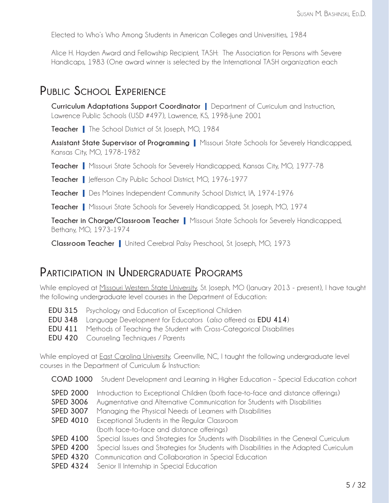Elected to Who's Who Among Students in American Colleges and Universities, 1984

Alice H. Hayden Award and Fellowship Recipient, TASH: The Association for Persons with Severe Handicaps, 1983 (One award winner is selected by the International TASH organization each

#### **Public School Experience**

**Curriculum Adaptations Support Coordinator** | Department of Curriculum and Instruction, Lawrence Public Schools (USD #497), Lawrence, KS, 1998-June 2001

**Teacher** | The School District of St. Joseph, MO, 1984

**Assistant State Supervisor of Programming** | Missouri State Schools for Severely Handicapped, Kansas City, MO, 1978-1982

**Teacher** | Missouri State Schools for Severely Handicapped, Kansas City, MO, 1977-78

**Teacher** | Jefferson City Public School District, MO, 1976-1977

**Teacher** | Des Moines Independent Community School District, IA, 1974-1976

**Teacher** | Missouri State Schools for Severely Handicapped, St. Joseph, MO, 1974

**Teacher in Charge/Classroom Teacher** | Missouri State Schools for Severely Handicapped, Bethany, MO, 1973-1974

**Classroom Teacher** | United Cerebral Palsy Preschool, St. Joseph, MO, 1973

#### **Participation in Undergraduate Programs**

While employed at Missouri Western State University, St. Joseph, MO (January 2013 - present), I have taught the following undergraduate level courses in the Department of Education:

- **EDU 315** Psychology and Education of Exceptional Children
- **EDU 348** Language Development for Educators (*also* offered as **EDU 414**)
- **EDU 411** Methods of Teaching the Student with Cross-Categorical Disabilities
- **EDU 420** Counseling Techniques / Parents

While employed at **East Carolina University**, Greenville, NC, I taught the following undergraduate level courses in the Department of Curriculum & Instruction:

- **COAD 1000** Student Development and Learning in Higher Education Special Education cohort
- **SPED 2000** Introduction to Exceptional Children (both face-to-face and distance offerings)
- **SPED 3006** Augmentative and Alternative Communication for Students with Disabilities
- **SPED 3007** Managing the Physical Needs of Learners with Disabilities
- **SPED 4010** Exceptional Students in the Regular Classroom (both face-to-face and distance offerings)
- **SPED 4100** Special Issues and Strategies for Students with Disabilities in the General Curriculum
- **SPED 4200** Special Issues and Strategies for Students with Disabilities in the Adapted Curriculum
- **SPED 4320** Communication and Collaboration in Special Education
- **SPED 4324** Senior II Internship in Special Education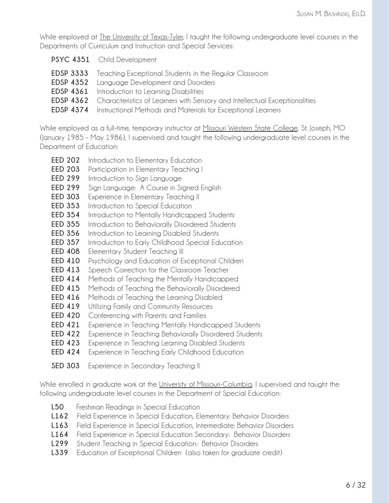While employed at The University of Texas-Tyler, I taught the following undergraduate level courses in the Departments of Curriculum and Instruction and Special Services:

- **PSYC 4351** Child Development
- **EDSP 3333** Teaching Exceptional Students in the Regular Classroom
- **EDSP 4352** Language Development and Disorders
- **EDSP 4361** Introduction to Learning Disabilities
- **EDSP 4362** Characteristics of Learners with Sensory and Intellectual Exceptionalities
- **EDSP 4374** Instructional Methods and Materials for Exceptional Learners

While employed as a full-time, temporary instructor at Missouri Western State College, St. Joseph, MO (January 1985 – May 1986), I supervised and taught the following undergraduate level courses in the Department of Education:

- **EED 202** Introduction to Elementary Education
- **EED 203** Participation in Elementary Teaching I
- **EED 299** Introduction to Sign Language
- **EED 299** Sign Language: A Course in Signed English
- **EED 303** Experience in Elementary Teaching II
- **EED 353** Introduction to Special Education
- **EED 354** Introduction to Mentally Handicapped Students
- **EED 355** Introduction to Behaviorally Disordered Students
- **EED 356** Introduction to Learning Disabled Students
- **EED 357** Introduction to Early Childhood Special Education
- **EED 408** Elementary Student Teaching III
- **EED 410** Psychology and Education of Exceptional Children
- **EED 413** Speech Correction for the Classroom Teacher
- **EED 414** Methods of Teaching the Mentally Handicapped
- **EED 415** Methods of Teaching the Behaviorally Disordered
- **EED 416** Methods of Teaching the Learning Disabled
- **EED 419** Utilizing Family and Community Resources
- **EED 420** Conferencing with Parents and Families
- **EED 421** Experience in Teaching Mentally Handicapped Students
- **EED 422** Experience in Teaching Behaviorally Disordered Students
- **EED 423** Experience in Teaching Learning Disabled Students
- **EED 424** Experience in Teaching Early Childhood Education
- **SED 303** Experience in Secondary Teaching II

While enrolled in graduate work at the University of Missouri-Columbia, I supervised and taught the following undergraduate level courses in the Department of Special Education:

- **L50** Freshman Readings in Special Education
- **L162** Field Experience in Special Education, Elementary: Behavior Disorders
- **L163** Field Experience in Special Education, Intermediate: Behavior Disorders
- **L164** Field Experience in Special Education Secondary: Behavior Disorders
- **L299** Student Teaching in Special Education: Behavior Disorders
- **L339** Education of Exceptional Children (also taken for graduate credit)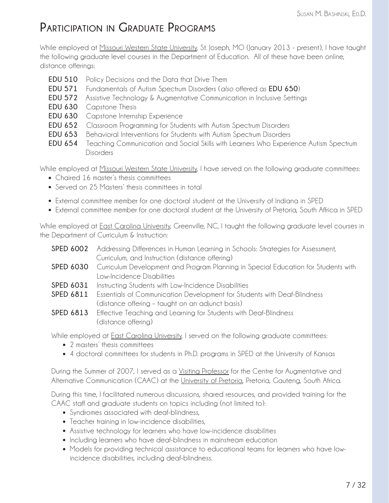# **Participation in Graduate Programs**

While employed at Missouri Western State University, St. Joseph, MO (January 2013 - present), I have taught the following graduate level courses in the Department of Education. All of these have been online, distance offerings:

- **EDU 510** Policy Decisions and the Data that Drive Them
- **EDU 571** Fundamentals of Autism Spectrum Disorders (*also* offered as **EDU 650**)
- **EDU 572** Assistive Technology & Augmentative Communication in Inclusive Settings
- **EDU 630** Capstone Thesis
- **EDU 630** Capstone Internship Experience
- **EDU 652** Classroom Programming for Students with Autism Spectrum Disorders
- **EDU 653** Behavioral Interventions for Students with Autism Spectrum Disorders
- **EDU 654** Teaching Communication and Social Skills with Learners Who Experience Autism Spectrum Disorders

While employed at <u>Missouri Western State University</u>, I have served on the following graduate committees:

- Chaired 16 master's thesis committees
- Served on 25 Masters' thesis committees in total
- External committee member for one doctoral student at the University of Indiana in SPED
- External committee member for one doctoral student at the University of Pretoria, South Affrica in SPED

While employed at **East Carolina University,** Greenville, NC, I taught the following graduate level courses in the Department of Curriculum & Instruction:

|           | <b>SPED 6002</b> Addressing Differences in Human Learning in Schools: Strategies for Assessment,    |
|-----------|-----------------------------------------------------------------------------------------------------|
|           | Curriculum, and Instruction (distance offering)                                                     |
|           | <b>SPED 6030</b> Curriculum Development and Program Planning in Special Education for Students with |
|           | Low-Incidence Disabilities                                                                          |
| SPED 6031 | Instructing Students with Low-Incidence Disabilities                                                |

- **SPED 6811** Essentials of Communication Development for Students with Deaf-Blindness (distance offering – taught on an adjunct basis)
- **SPED 6813** Effective Teaching and Learning for Students with Deaf-Blindness (distance offering)

While employed at East Carolina University, I served on the following graduate committees:

- 2 masters' thesis committees
- 4 doctoral committees for students in Ph.D. programs in SPED at the University of Kansas

During the Summer of 2007, I served as a Visiting Professor for the Centre for Augmentative and Alternative Communication (CAAC) at the University of Pretoria, Pretoria, Gauteng, South Africa.

During this time, I facilitated numerous discussions, shared resources, and provided training for the CAAC staff and graduate students on topics including (not limited to):

- Syndromes associated with deaf-blindness,
- Teacher training in low-incidence disabilities,
- Assistive technology for learners who have low-incidence disabilities
- Including learners who have deaf-blindness in mainstream education
- Models for providing technical assistance to educational teams for learners who have low incidence disabilities, including deaf-blindness.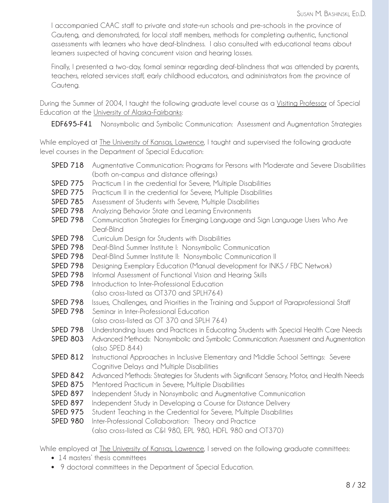I accompanied CAAC staff to private and state-run schools and pre-schools in the province of Gauteng, and demonstrated, for local staff members, methods for completing authentic, functional assessments with learners who have deaf-blindness. I also consulted with educational teams about learners suspected of having concurrent vision and hearing losses.

Finally, I presented a two-day, formal seminar regarding deaf-blindness that was attended by parents, teachers, related services staff, early childhood educators, and administrators from the province of Gauteng.

During the Summer of 2004, I taught the following graduate level course as a Visiting Professor of Special Education at the University of Alaska-Fairbanks:

**EDF695-F41** Nonsymbolic and Symbolic Communication: Assessment and Augmentation Strategies

While employed at **The University of Kansas, Lawrence**, I taught and supervised the following graduate level courses in the Department of Special Education:

| <b>SPED 718</b> Augmentative Communication: Programs for Persons with Moderate and Severe Disabilities |
|--------------------------------------------------------------------------------------------------------|
| (both on-campus and distance offerings)                                                                |

- **SPED 775** Practicum I in the credential for Severe, Multiple Disabilities
- **SPED 775** Practicum II in the credential for Severe, Multiple Disabilities
- **SPED 785** Assessment of Students with Severe, Multiple Disabilities
- **SPED 798** Analyzing Behavior State and Learning Environments
- **SPED 798** Communication Strategies for Emerging Language and Sign Language Users Who Are Deaf-Blind
- **SPED 798** Curriculum Design for Students with Disabilities
- **SPED 798** Deaf-Blind Summer Institute I: Nonsymbolic Communication
- **SPED 798** Deaf-Blind Summer Institute II: Nonsymbolic Communication II
- **SPED 798** Designing Exemplary Education (Manual development for INKS / FBC Network)
- **SPED 798** Informal Assessment of Functional Vision and Hearing Skills
- **SPED 798** Introduction to Inter-Professional Education (also cross-listed as OT370 and SPLH764)
- **SPED 798** Issues, Challenges, and Priorities in the Training and Support of Paraprofessional Staff
- **SPED 798** Seminar in Inter-Professional Education
	- (also cross-listed as OT 370 and SPLH 764)
- **SPED 798** Understanding Issues and Practices in Educating Students with Special Health Care Needs
- **SPED 803** Advanced Methods: Nonsymbolic and Symbolic Communication: Assessment and Augmentation (also SPED 844)
- **SPED 812** Instructional Approaches in Inclusive Elementary and Middle School Settings: Severe Cognitive Delays and Multiple Disabilities
- **SPED 842** Advanced Methods: Strategies for Students with Significant Sensory, Motor, and Health Needs
- **SPED 875** Mentored Practicum in Severe, Multiple Disabilities
- **SPED 897** Independent Study in Nonsymbolic and Augmentative Communication
- **SPED 897** Independent Study in Developing a Course for Distance Delivery
- **SPED 975** Student Teaching in the Credential for Severe, Multiple Disabilities
- **SPED 980** Inter-Professional Collaboration: Theory and Practice (also cross-listed as C&I 980, EPL 980, HDFL 980 and OT370)

While employed at The University of Kansas, Lawrence, I served on the following graduate committees:

- 14 masters' thesis committees
- 9 doctoral committees in the Department of Special Education.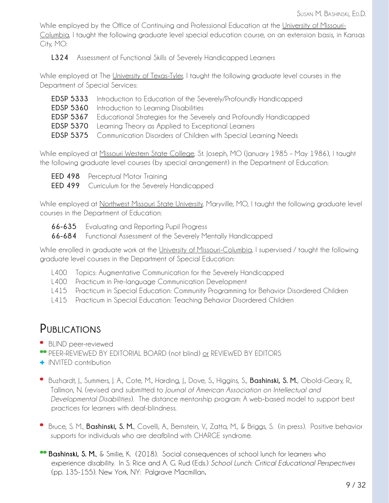While employed by the Office of Continuing and Professional Education at the University of Missouri-Columbia, I taught the following graduate level special education course, on an extension basis, in Kansas City, MO:

**L324** Assessment of Functional Skills of Severely Handicapped Learners

While employed at The University of Texas-Tyler, I taught the following graduate level courses in the Department of Special Services:

| <b>EDSP 5333</b> Introduction to Education of the Severely/Profoundly Handicapped   |
|-------------------------------------------------------------------------------------|
| <b>EDSP 5360</b> Introduction to Learning Disabilities                              |
| <b>EDSP 5367</b> Educational Strategies for the Severely and Profoundly Handicapped |
| <b>EDSP 5370</b> Learning Theory as Applied to Exceptional Learners                 |
| <b>EDSP 5375</b> Communication Disorders of Children with Special Learning Needs    |

While employed at Missouri Western State College, St. Joseph, MO (January 1985 – May 1986), I taught the following graduate level courses (by special arrangement) in the Department of Education:

**EED 498** Perceptual Motor Training

**EED 499** Curriculum for the Severely Handicapped

While employed at Northwest Missouri State University, Maryville, MO, I taught the following graduate level courses in the Department of Education:

- **66-635** Evaluating and Reporting Pupil Progress
- **66-684** Functional Assessment of the Severely Mentally Handicapped

While enrolled in graduate work at the University of Missouri-Columbia, I supervised / taught the following graduate level courses in the Department of Special Education:

- L400 Topics: Augmentative Communication for the Severely Handicapped
- L400 Practicum in Pre-language Communication Development
- L415 Practicum in Special Education: Community Programming for Behavior Disordered Children
- L415 Practicum in Special Education: Teaching Behavior Disordered Children

## **Publications**

**\*** BLIND peer-reviewed

- **\*\*** PEER-REVIEWED BY EDITORIAL BOARD (not blind) or REVIEWED BY EDITORS
- **+** INVITED contribution
- **\*** Buzhardt, J., Summers, J. A., Cote, M., Harding, J., Dove, S., Higgins, S., **Bashinski, S. M.**, Obold-Geary, R., Tallmon, N. (revised and submitted to *Journal of American Association on Intellectual and Developmental Disabilities*). The distance mentorship program: A web-based model to support best practices for learners with deaf-blindness.
- **\*** Bruce, S. M., **Bashinski, S. M.**, Covelli, A., Bernstein, V., Zatta, M., & Briggs, S. (in press). Positive behavior supports for individuals who are deafblind with CHARGE syndrome.
- **\*\* Bashinski, S. M.**, & Smilie, K. (2018). Social consequences of school lunch for learners who experience disability. In S. Rice and A. G. Rud (Eds.) *School Lunch: Critical Educational Perspectives* (pp. 135-155). New York, NY: Palgrave Macmillan**.**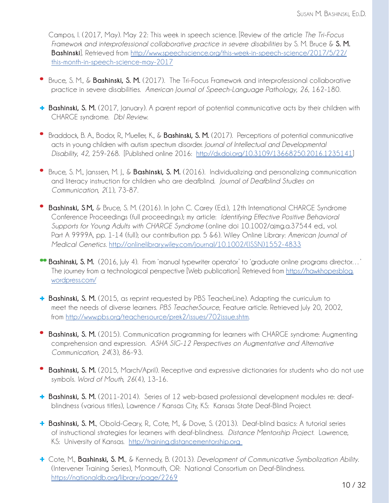Campos, I. (2017, May). May 22: This week in speech science. [Review of the article *The Tri-Focus Framework and interprofessional collaborative practice in severe disabilities* by S. M. Bruce & **S. M. Bashinski**]. Retrieved from http://www.speechscience.org/this-week-in-speech-science/2017/5/22/ this-month-in-speech-science-may-2017

- **\*** Bruce, S. M., & **Bashinski, S. M.** (2017). The Tri-Focus Framework and interprofessional collaborative practice in severe disabilities. *American Journal of Speech-Language Pathology*, *26*, 162-180.
- **+ Bashinski, S. M.** (2017, January). A parent report of potential communicative acts by their children with CHARGE syndrome. *DbI Review*.
- **\*** Braddock, B. A., Bodor, R., Mueller, K., & **Bashinski, S. M.** (2017). Perceptions of potential communicative acts in young children with autism spectrum disorder. *Journal of Intellectual and Developmental Disability*, *42*, 259-268. [Published online 2016: http://dx.doi.org/10.3109/13668250.2016.1235141]
- **\*** Bruce, S. M., Janssen, M. J., & **Bashinski, S. M.** (2016). Individualizing and personalizing communication and literacy instruction for children who are deafblind. *Journal of Deafblind Studies on Communication, 2*(1), 73-87.
- **\* Bashinski, S**.**M,** & Bruce, S. M. (2016). In John C. Carey (Ed.), 12th International CHARGE Syndrome Conference Proceedings (full proceedings); my article: *Identifying Effective Positive Behavioral Supports for Young Adults with CHARGE Syndrome* (online doi 10.1002/ajmg.a.37544 ed., vol. Part A 9999A, pp. 1-14 (full); our contribution pp. 5 &6). Wiley Online Library: *American Journal of Medical Genetics*. http://onlinelibrary.wiley.com/journal/10.1002/(ISSN)1552-4833
- **\*\* Bashinski, S. M.** (2016, July 4). From 'manual typewriter operator' to 'graduate online programs director…' The journey from a technological perspective [Web publication]. Retrieved from https://hawkhopesblog. wordpress.com/
- **+ Bashinski, S. M.** (2015, as reprint requested by PBS TeacherLine). Adapting the curriculum to meet the needs of diverse learners. *PBS TeacherSource*, Feature article. Retrieved July 20, 2002, from http://www.pbs.org/teachersource/prek2/issues/702issue.shtm.
- **\* Bashinski, S. M.** (2015). Communication programming for learners with CHARGE syndrome: Augmenting comprehension and expression. *ASHA SIG-12 Perspectives on Augmentative and Alternative Communication*, *24*(3), 86-93.
- **\* Bashinski, S. M.** (2015, March/April). Receptive and expressive dictionaries for students who do not use symbols. *Word of Mouth, 26*(4), 13-16.
- **+ Bashinski, S. M.** (2011-2014). Series of 12 web-based professional development modules re: deaf blindness (various titles), Lawrence / Kansas City, KS: Kansas State Deaf-Blind Project.
- **+ Bashinski, S. M.**, Obold-Geary, R., Cote, M., & Dove, S. (2013). Deaf-blind basics: A tutorial series of instructional strategies for learners with deaf-blindness. *Distance Mentorship Project*. Lawrence, KS: University of Kansas. http://training.distancementorship.org
- **+** Cote, M., **Bashinski, S. M.**, & Kennedy, B. (2013). *Development of Communicative Symbolization Ability*. (Intervener Training Series), Monmouth, OR: National Consortium on Deaf-Blindness. https://nationaldb.org/library/page/2269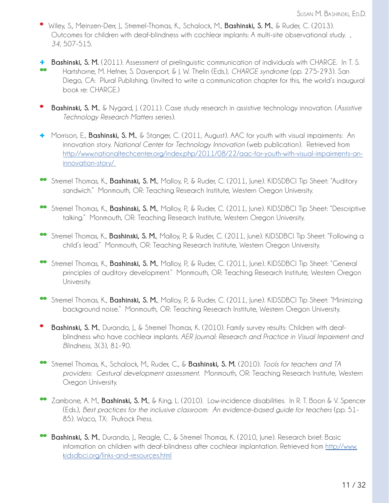- **\*** Wiley, S., Meinzen-Derr, J., Stremel-Thomas, K., Schalock, M., **Bashinski, S. M.**, & Ruder, C. (2013). Outcomes for children with deaf-blindness with cochlear implants: A multi-site observational study. *, 34*, 507-515.
- **+ Bashinski, S. M.** (2011). Assessment of prelinguistic communication of individuals with CHARGE. In T. S. **\*\*** Hartshorne, M. Hefner, S. Davenport, & J. W. Thelin (Eds.), *CHARGE syndrome* (pp. 275-293). San Diego, CA: Plural Publishing. (Invited to write a communication chapter for this, the world's inaugural book re: CHARGE.)
- **\* Bashinski, S. M.**, & Nygard, J. (2011). Case study research in assistive technology innovation. (*Assistive Technology Research Matters* series).
- **+** Morrison, E., **Bashinski, S. M.**, & Stanger, C. (2011, August). AAC for youth with visual impairments: An innovation story. *National Center for Technology Innovation* (web publication). Retrieved from http://www.nationaltechcenter.org/index.php/2011/08/22/aac-for-youth-with-visual-impairments-an innovation-story/
- **\*\*** Stremel Thomas, K., **Bashinski, S. M.**, Malloy, P., & Ruder, C. (2011, June). KIDSDBCI Tip Sheet: "Auditory sandwich." Monmouth, OR: Teaching Research Institute, Western Oregon University.
- Stremel Thomas, K., Bashinski, S. M., Malloy, P., & Ruder, C. (2011, June). KIDSDBCI Tip Sheet: "Descriptive talking." Monmouth, OR: Teaching Research Institute, Western Oregon University.
- **\*\*** Stremel Thomas, K., **Bashinski, S. M.**, Malloy, P., & Ruder, C. (2011, June). KIDSDBCI Tip Sheet: "Following a child's lead." Monmouth, OR: Teaching Research Institute, Western Oregon University.
- **\*\*** Stremel Thomas, K., **Bashinski, S. M.**, Malloy, P., & Ruder, C. (2011, June). KIDSDBCI Tip Sheet: "General principles of auditory development." Monmouth, OR: Teaching Research Institute, Western Oregon University.
- **\*\*** Stremel Thomas, K., **Bashinski, S. M.**, Malloy, P., & Ruder, C. (2011, June). KIDSDBCI Tip Sheet: "Minimizing background noise." Monmouth, OR: Teaching Research Institute, Western Oregon University.
- **\* Bashinski, S. M.**, Durando, J., & Stremel Thomas, K. (2010). Family survey results: Children with deaf blindness who have cochlear implants. *AER Journal: Research and Practice in Visual Impairment and Blindness*, 3(3), 81-90.
- **\*\*** Stremel Thomas, K., Schalock, M., Ruder, C., & **Bashinski, S. M.** (2010). *Tools for teachers and TA providers: Gestural development assessment*. Monmouth, OR: Teaching Research Institute, Western Oregon University.
- **\*\*** Zambone, A. M., **Bashinski, S. M.**, & King, L. (2010). Low-incidence disabilities. In R. T. Boon & V. Spencer (Eds.), *Best practices for the inclusive classroom: An evidence-based guide for teachers* (pp. 51- 85). Waco, TX: Prufrock Press.
- **Bashinski, S. M.,** Durando, J., Reagle, C., & Stremel Thomas, K. (2010, June). Research brief: Basic information on children with deaf-blindness after cochlear implantation. Retrieved from http://www. kidsdbci.org/links-and-resources.html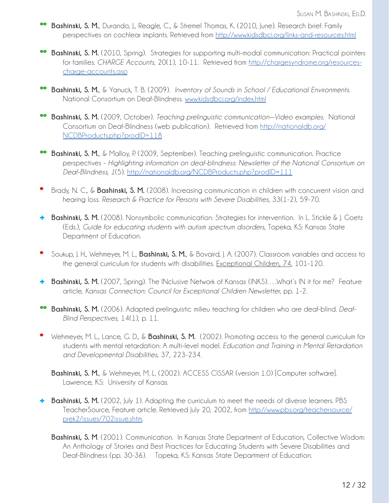- **\*\* Bashinski, S. M.**, Durando, J., Reagle, C., & Stremel Thomas, K. (2010, June). Research brief: Family perspectives on cochlear implants. Retrieved from http://www.kidsdbci.org/links-and-resources.html
- **Bashinski, S. M.** (2010, Spring). Strategies for supporting multi-modal communication: Practical pointers for families. *CHARGE Accounts*, 20(1), 10-11. Retrieved from http://chargesyndrome.org/resources charge-accounts.asp
- **\*\* Bashinski, S. M.**, & Yanuck, T. B. (2009). *Inventory of Sounds in School / Educational Environments*. National Consortium on Deaf-Blindness. www.kidsdbci.org/index.html
- **\*\* Bashinski, S. M.** (2009, October). *Teaching prelinguistic communication—Video examples*. National Consortium on Deaf-Blindness (web publication). Retrieved from http://nationaldb.org/ NCDBProducts.php?prodID=118
- **Bashinski, S. M.**, & Malloy, P. (2009, September). Teaching prelinguistic communication. Practice perspectives - *Highlighting information on deaf-blindness: Newsletter of the National Consortium on Deaf-Blindness, 1*(5). http://nationaldb.org/NCDBProducts.php?prodID=111
- **\*** Brady, N. C., & **Bashinski, S. M.** (2008). Increasing communication in children with concurrent vision and hearing loss. *Research & Practice for Persons with Severe Disabilities*, 33(1-2), 59-70.
- **+ Bashinski, S. M.** (2008). Nonsymbolic communication: Strategies for intervention. In L. Stickle & J. Goetz (Eds.), *Guide for educating students with autism spectrum disorders*, Topeka, KS: Kansas State Department of Education.
- **\*** Soukup, J. H., Wehmeyer, M. L., **Bashinski, S. M.**, & Bovaird, J. A. (2007). Classroom variables and access to the general curriculum for students with disabilities. Exceptional Children, 74, 101-120.
- **+ Bashinski, S. M.** (2007, Spring). The INclusive Network of Kansas (INKS)….What's IN it for me? Feature article, *Kansas Connection: Council for Exceptional Children Newsletter*, pp. 1-2.
- **\*\* Bashinski, S. M.** (2006). Adapted prelinguistic milieu teaching for children who are deaf-blind. *Deaf- Blind Perspectives*, 14(1), p. 11.
- **\*** Wehmeyer, M. L., Lance, G. D., & **Bashinski, S. M.** (2002). Promoting access to the general curriculum for students with mental retardation: A multi-level model. *Education and Training in Mental Retardation and Developmental Disabilities*, 37, 223-234.

**Bashinski, S. M.**, & Wehmeyer, M. L. (2002). ACCESS CISSAR (version 1.0) [Computer software]. Lawrence, KS: University of Kansas.

- **+ Bashinski, S. M.** (2002, July 1). Adapting the curriculum to meet the needs of diverse learners. PBS TeacherSource, Feature article. Retrieved July 20, 2002, from http://www.pbs.org/teachersource/ prek2/issues/702issue.shtm.
	- **Bashinski, S. M**. (2001). Communication. In Kansas State Department of Education, Collective Wisdom: An Anthology of Stories and Best Practices for Educating Students with Severe Disabilities and Deaf-Blindness (pp. 30-36). Topeka, KS: Kansas State Department of Education.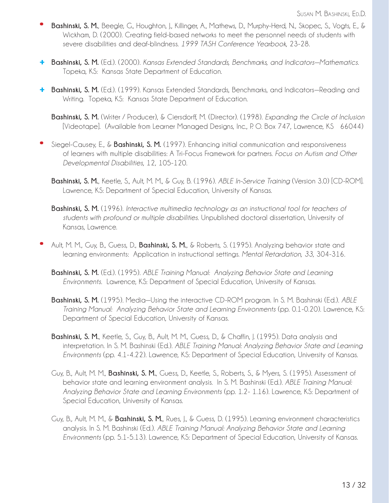- **\* Bashinski, S. M.**, Beegle, G., Houghton, J., Killinger, A., Mathews, D., Murphy-Herd, N., Skopec, S., Vogts, E., & Wickham, D. (2000). Creating field-based networks to meet the personnel needs of students with severe disabilities and deaf-blindness. *1999 TASH Conference Yearbook*, 23-28.
- **+ Bashinski, S. M.** (Ed.). (2000). *Kansas Extended Standards, Benchmarks, and Indicators—Mathematics*. Topeka, KS: Kansas State Department of Education.
- **+ Bashinski, S. M.** (Ed.). (1999). Kansas Extended Standards, Benchmarks, and Indicators—Reading and Writing. Topeka, KS: Kansas State Department of Education.

**Bashinski, S. M.** (Writer / Producer), & Ciersdorff, M. (Director). (1998). *Expanding the Circle of Inclusion* [Videotape]. (Available from Learner Managed Designs, Inc., P. O. Box 747, Lawrence, KS 66044)

- **\*** Siegel-Causey, E., & **Bashinski, S. M.** (1997). Enhancing initial communication and responsiveness of learners with multiple disabilities: A Tri-Focus Framework for partners. *Focus on Autism and Other Developmental Disabilities*, 12, 105-120.
	- **Bashinski, S. M.**, Keetle, S., Ault, M. M., & Guy, B. (1996). *ABLE In-Service Training* (Version 3.0) [CD-ROM]. Lawrence, KS: Department of Special Education, University of Kansas.
	- **Bashinski, S. M.** (1996). *Interactive multimedia technology as an instructional tool for teachers of students with profound or multiple disabilities*. Unpublished doctoral dissertation, University of Kansas, Lawrence.
- **\*** Ault, M. M., Guy, B., Guess, D., **Bashinski, S. M.**, & Roberts, S. (1995). Analyzing behavior state and learning environments: Application in instructional settings. *Mental Retardation, 33*, 304-316.
	- **Bashinski, S. M.** (Ed.). (1995). *ABLE Training Manual: Analyzing Behavior State and Learning Environments*. Lawrence, KS: Department of Special Education, University of Kansas.
	- **Bashinski, S. M.** (1995). Media—Using the interactive CD-ROM program. In S. M. Bashinski (Ed.). *ABLE Training Manual: Analyzing Behavior State and Learning Environments* (pp. 0.1-0.20). Lawrence, KS: Department of Special Education, University of Kansas.
	- **Bashinski, S. M.**, Keetle, S., Guy, B., Ault, M. M., Guess, D., & Chaffin, J. (1995). Data analysis and interpretation. In S. M. Bashinski (Ed.). *ABLE Training Manual: Analyzing Behavior State and Learning Environments* (pp. 4.1-4.22). Lawrence, KS: Department of Special Education, University of Kansas.
	- Guy, B., Ault, M. M., **Bashinski, S. M.**, Guess, D., Keetle, S., Roberts, S., & Myers, S. (1995). Assessment of behavior state and learning environment analysis. In S. M. Bashinski (Ed.). *ABLE Training Manual: Analyzing Behavior State and Learning Environments* (pp. 1.2- 1.16). Lawrence, KS: Department of Special Education, University of Kansas.
	- Guy, B., Ault, M. M., & **Bashinski, S. M.**, Rues, J., & Guess, D. (1995). Learning environment characteristics analysis. In S. M. Bashinski (Ed.). *ABLE Training Manual: Analyzing Behavior State and Learning Environments* (pp. 5.1-5.13). Lawrence, KS: Department of Special Education, University of Kansas.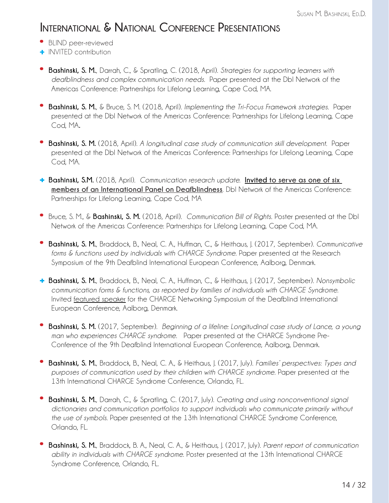#### **International & National Conference Presentations**

- **\*** BLIND peer-reviewed
- **+** INVITED contribution
- **\* Bashinski, S. M.**, Darrah, C., & Spratling, C. (2018, April). *Strategies for supporting learners with deafblindness and complex communication needs*. Paper presented at the DbI Network of the Americas Conference: Partnerships for Lifelong Learning, Cape Cod, MA.
- **\* Bashinski, S. M.**, & Bruce, S. M. (2018, April). *Implementing the Tri-Focus Framework strategies*. Paper presented at the DbI Network of the Americas Conference: Partnerships for Lifelong Learning, Cape Cod, MA**.**
- **\* Bashinski, S. M.** (2018, April). *A longitudinal case study of communication skill development*. Paper presented at the DbI Network of the Americas Conference: Partnerships for Lifelong Learning, Cape Cod, MA.
- **+ Bashinski, S.M.** (2018, April). *Communication research update.* **Invited to serve as one of six members of an International Panel on Deafblindness**. DbI Network of the Americas Conference: Partnerships for Lifelong Learning, Cape Cod, MA
- **\*** Bruce, S. M., & **Bashinski, S. M.** (2018, April). *Communication Bill of Rights*. Poster presented at the DbI Network of the Americas Conference: Partnerships for Lifelong Learning, Cape Cod, MA.
- **\* Bashinski, S. M.**, Braddock, B., Neal, C. A., Huffman, C., & Heithaus, J. (2017, September). *Communicative forms & functions used by individuals with CHARGE Syndrome.* Paper presented at the Research Symposium of the 9th Deafblind International European Conference, Aalborg, Denmark.
- **+ Bashinski, S. M.**, Braddock, B., Neal, C. A., Huffman, C., & Heithaus, J. (2017, September). *Nonsymbolic communication forms & functions, as reported by families of individuals with CHARGE Syndrome*. Invited featured speaker for the CHARGE Networking Symposium of the Deafblind International European Conference, Aalborg, Denmark.
- **\* Bashinski, S. M.** (2017, September). *Beginning of a lifeline: Longitudinal case study of Lance, a young man who experiences CHARGE syndrome*. Paper presented at the CHARGE Syndrome Pre- Conference of the 9th Deafblind International European Conference, Aalborg, Denmark.
- **\* Bashinski, S. M.**, Braddock, B., Neal, C. A., & Heithaus, J. (2017, July). *Families' perspectives: Types and purposes of communication used by their children with CHARGE syndrome*. Paper presented at the 13th International CHARGE Syndrome Conference, Orlando, FL.
- **\* Bashinski, S. M.**, Darrah, C., & Spratling, C. (2017, July). *Creating and using nonconventional signal dictionaries and communication portfolios to support individuals who communicate primarily without the use of symbols*. Paper presented at the 13th International CHARGE Syndrome Conference, Orlando, FL.
- **\* Bashinski, S. M.**, Braddock, B. A., Neal, C. A., & Heithaus, J. (2017, July). *Parent report of communication ability in individuals with CHARGE syndrome*. Poster presented at the 13th International CHARGE Syndrome Conference, Orlando, FL.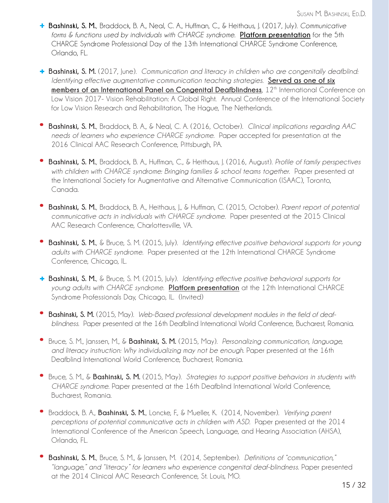- **+ Bashinski, S. M.**, Braddock, B. A., Neal, C. A., Huffman, C., & Heithaus, J. (2017, July). *Communicative forms & functions used by individuals with CHARGE syndrome*. **Platform presentation** for the 5th CHARGE Syndrome Professional Day of the 13th International CHARGE Syndrome Conference, Orlando, FL.
- **+ Bashinski, S. M.** (2017, June). *Communication and literacy in children who are congenitally deafblind: Identifying effective augmentative communication teaching strategies*. **Served as one of six members of an International Panel on Congenital Deafblindness**, 12<sup>th</sup> International Conference on Low Vision 2017- Vision Rehabilitation: A Global Right. Annual Conference of the International Society for Low Vision Research and Rehabilitation, The Hague, The Netherlands.
- **\* Bashinski, S. M.**, Braddock, B. A., & Neal, C. A. (2016, October). *Clinical implications regarding AAC needs of learners who experience CHARGE syndrome*. Paper accepted for presentation at the 2016 Clinical AAC Research Conference, Pittsburgh, PA.
- **\* Bashinski, S. M.**, Braddock, B. A., Huffman, C., & Heithaus, J. (2016, August). *Profile of family perspectives with children with CHARGE syndrome: Bringing families & school teams together*. Paper presented at the International Society for Augmentative and Alternative Communication (ISAAC), Toronto, Canada.
- **\* Bashinski, S. M.**, Braddock, B. A., Heithaus, J., & Huffman, C. (2015, October). *Parent report of potential communicative acts in individuals with CHARGE syndrome*. Paper presented at the 2015 Clinical AAC Research Conference, Charlottesville, VA.
- **\* Bashinski, S. M.**, & Bruce, S. M. (2015, July). *Identifying effective positive behavioral supports for young adults with CHARGE syndrome*. Paper presented at the 12th International CHARGE Syndrome Conference, Chicago, IL.
- **+ Bashinski, S. M.**, & Bruce, S. M. (2015, July). *Identifying effective positive behavioral supports for young adults with CHARGE syndrome*. **Platform presentation** at the 12th International CHARGE Syndrome Professionals Day, Chicago, IL. (Invited)
- **\* Bashinski, S. M.** (2015, May). *Web-Based professional development modules in the field of deaf blindness*. Paper presented at the 16th Deafblind International World Conference, Bucharest, Romania.
- **\*** Bruce, S. M., Janssen, M., & **Bashinski, S. M.** (2015, May). *Personalizing communication, language, and literacy instruction: Why individualizing may not be enough*. Paper presented at the 16th Deafblind International World Conference, Bucharest, Romania.
- **\*** Bruce, S. M., & **Bashinski, S. M.** (2015, May). *Strategies to support positive behaviors in students with CHARGE syndrome*. Paper presented at the 16th Deafblind International World Conference, Bucharest, Romania.
- **\*** Braddock, B. A., **Bashinski, S. M.**, Loncke, F., & Mueller, K. (2014, November). *Verifying parent perceptions of potential communicative acts in children with ASD*. Paper presented at the 2014 International Conference of the American Speech, Language, and Hearing Association (AHSA), Orlando, FL.
- **\* Bashinski, S. M.**, Bruce, S. M., & Janssen, M. (2014, September). *Definitions of "communication," "language," and "literacy" for learners who experience congenital deaf-blindness*. Paper presented at the 2014 Clinical AAC Research Conference, St. Louis, MO.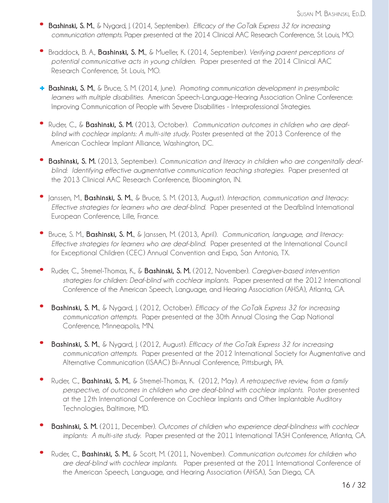- **\* Bashinski, S. M.**, & Nygard, J. (2014, September). *Efficacy of the GoTalk Express 32 for increasing communication attempts*. Paper presented at the 2014 Clinical AAC Research Conference, St. Louis, MO.
- **\*** Braddock, B. A., **Bashinski, S. M.**, & Mueller, K. (2014, September). *Verifying parent perceptions of potential communicative acts in young children*. Paper presented at the 2014 Clinical AAC Research Conference, St. Louis, MO.
- **+ Bashinski, S. M.**, & Bruce, S. M. (2014, June). *Promoting communication development in presymbolic learners with multiple disabilities*. American Speech-Language-Hearing Association Online Conference: Improving Communication of People with Severe Disabilities - Interprofessional Strategies.
- **\*** Ruder, C., & **Bashinski, S. M.** (2013, October). *Communication outcomes in children who are deaf blind with cochlear implants: A multi-site study*. Poster presented at the 2013 Conference of the American Cochlear Implant Alliance, Washington, DC.
- **\* Bashinski, S. M.** (2013, September). *Communication and literacy in children who are congenitally deaf blind: Identifying effective augmentative communication teaching strategies*. Paper presented at the 2013 Clinical AAC Research Conference, Bloomington, IN.
- **\*** Janssen, M., **Bashinski, S. M.**, & Bruce, S. M. (2013, August). *Interaction, communication and literacy: Effective strategies for learners who are deaf-blind*. Paper presented at the Deafblind International European Conference, Lille, France.
- **\*** Bruce, S. M., **Bashinski, S. M.**, & Janssen, M. (2013, April). *Communication, language, and literacy: Effective strategies for learners who are deaf-blind*. Paper presented at the International Council for Exceptional Children (CEC) Annual Convention and Expo, San Antonio, TX.
- **\*** Ruder, C., Stremel-Thomas, K., & **Bashinski, S. M.** (2012, November). *Caregiver-based intervention strategies for children: Deaf-blind with cochlear implants*. Paper presented at the 2012 International Conference of the American Speech, Language, and Hearing Association (AHSA), Atlanta, GA.
- **\* Bashinski, S. M.**, & Nygard, J. (2012, October). *Efficacy of the GoTalk Express 32 for increasing communication attempts*. Paper presented at the 30th Annual Closing the Gap National Conference, Minneapolis, MN.
- **\* Bashinski, S. M.**, & Nygard, J. (2012, August). *Efficacy of the GoTalk Express 32 for increasing communication attempts*. Paper presented at the 2012 International Society for Augmentative and Alternative Communication (ISAAC) Bi-Annual Conference, Pittsburgh, PA.
- **\*** Ruder, C., **Bashinski, S. M.**, & Stremel-Thomas, K. (2012, May). *A retrospective review, from a family perspective, of outcomes in children who are deaf-blind with cochlear implants*. Poster presented at the 12th International Conference on Cochlear Implants and Other Implantable Auditory Technologies, Baltimore, MD.
- **\* Bashinski, S. M.** (2011, December). *Outcomes of children who experience deaf-blindness with cochlear implants: A multi-site study*. Paper presented at the 2011 International TASH Conference, Atlanta, GA.
- **\*** Ruder, C., **Bashinski, S. M.**, & Scott, M. (2011, November). *Communication outcomes for children who are deaf-blind with cochlear implants*. Paper presented at the 2011 International Conference of the American Speech, Language, and Hearing Association (AHSA), San Diego, CA.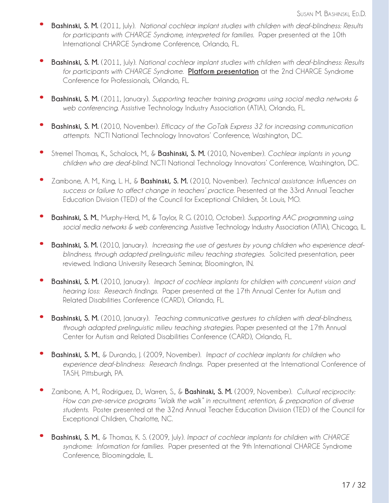- **\* Bashinski, S. M.** (2011, July). *National cochlear implant studies with children with deaf-blindness: Results for participants with CHARGE Syndrome, interpreted for families*. Paper presented at the 10th International CHARGE Syndrome Conference, Orlando, FL.
- **\* Bashinski, S. M.** (2011, July). *National cochlear implant studies with children with deaf-blindness: Results for participants with CHARGE Syndrome*. **Platform presentation** at the 2nd CHARGE Syndrome Conference for Professionals, Orlando, FL.
- **\* Bashinski, S. M.** (2011, January). *Supporting teacher training programs using social media networks & web conferencing*. Assistive Technology Industry Association (ATIA), Orlando, FL.
- **\* Bashinski, S. M.** (2010, November). *Efficacy of the GoTalk Express 32 for increasing communication attempts*. NCTI National Technology Innovators' Conference, Washington, DC.
- **\*** Stremel Thomas, K., Schalock, M., & **Bashinski, S. M.** (2010, November). *Cochlear implants in young children who are deaf-blind*. NCTI National Technology Innovators' Conference, Washington, DC.
- **\*** Zambone, A. M., King, L. H., & **Bashinski, S. M.** (2010, November). *Technical assistance: Influences on success or failure to affect change in teachers' practice*. Presented at the 33rd Annual Teacher Education Division (TED) of the Council for Exceptional Children, St. Louis, MO.
- **\* Bashinski, S. M.**, Murphy-Herd, M., & Taylor, R. G. (2010, October). *Supporting AAC programming using social media networks & web conferencing*. Assistive Technology Industry Association (ATIA), Chicago, IL.
- **\* Bashinski, S. M.** (2010, January). *Increasing the use of gestures by young children who experience deaf blindness, through adapted prelinguistic milieu teaching strategies*. Solicited presentation, peer reviewed. Indiana University Research Seminar, Bloomington, IN.
- **\* Bashinski, S. M.** (2010, January). *Impact of cochlear implants for children with concurrent vision and hearing loss: Research findings*. Paper presented at the 17th Annual Center for Autism and Related Disabilities Conference (CARD), Orlando, FL.
- **\* Bashinski, S. M.** (2010, January). *Teaching communicative gestures to children with deaf-blindness, through adapted prelinguistic milieu teaching strategies*. Paper presented at the 17th Annual Center for Autism and Related Disabilities Conference (CARD), Orlando, FL.
- **\* Bashinski, S. M.**, & Durando, J. (2009, November). *Impact of cochlear implants for children who experience deaf-blindness: Research findings*. Paper presented at the International Conference of TASH, Pittsburgh, PA.
- **\*** Zambone, A. M., Rodriguez, D., Warren, S., & **Bashinski, S. M.** (2009, November). *Cultural reciprocity: How can pre-service programs "Walk the walk" in recruitment, retention, & preparation of diverse students*. Poster presented at the 32nd Annual Teacher Education Division (TED) of the Council for Exceptional Children, Charlotte, NC.
- **\* Bashinski, S. M.**, & Thomas, K. S. (2009, July). *Impact of cochlear implants for children with CHARGE syndrome: Information for families*. Paper presented at the 9th International CHARGE Syndrome Conference, Bloomingdale, IL.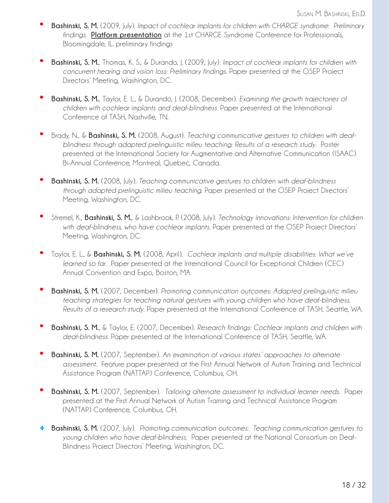- **\* Bashinski, S. M.** (2009, July). *Impact of cochlear implants for children with CHARGE syndrome: Preliminary findings*. **Platform presentation** at the 1st CHARGE Syndrome Conference for Professionals, Bloomingdale, IL. preliminary findings
- **\* Bashinski, S. M.**, Thomas, K. S., & Durando, J. (2009, July). *Impact of cochlear implants for children with concurrent hearing and vision loss: Preliminary findings*. Paper presented at the OSEP Project Directors' Meeting, Washington, DC.
- **\* Bashinski, S. M.**, Taylor, E. L., & Durando, J. (2008, December). *Examining the growth trajectories of children with cochlear implants and deaf-blindness*. Paper presented at the International Conference of TASH, Nashville, TN.
- **\*** Brady, N., & **Bashinski, S. M.** (2008, August). *Teaching communicative gestures to children with deaf blindness through adapted prelinguistic milieu teaching: Results of a research study*. Poster presented at the International Society for Augmentative and Alternative Communication (ISAAC) Bi-Annual Conference, Montreal, Quebec, Canada.
- **\* Bashinski, S. M.** (2008, July). *Teaching communicative gestures to children with deaf-blindness through adapted prelinguistic milieu teaching*. Paper presented at the OSEP Project Directors' Meeting, Washington, DC.
- **\*** Stremel, K., **Bashinski, S. M.**, & Lashbrook, P. (2008, July). *Technology innovations: Intervention for children with deaf-blindness, who have cochlear implants*. Paper presented at the OSEP Project Directors' Meeting, Washington, DC.
- **\*** Taylor, E. L., & **Bashinski, S. M.** (2008, April). *Cochlear implants and multiple disabilities: What we've learned so far*. Paper presented at the International Council for Exceptional Children (CEC) Annual Convention and Expo, Boston, MA.
- **\* Bashinski, S. M.** (2007, December). *Promoting communication outcomes: Adapted prelinguistic milieu teaching strategies for teaching natural gestures with young children who have deaf-blindness. Results of a research study*. Paper presented at the International Conference of TASH, Seattle, WA.
- **\* Bashinski, S. M.**, & Taylor, E. (2007, December). *Research findings: Cochlear implants and children with deaf-blindness*. Paper presented at the International Conference of TASH, Seattle, WA.
- **\* Bashinski, S. M.** (2007, September). *An examination of various states' approaches to alternate assessment*. Feature paper presented at the First Annual Network of Autism Training and Technical Assistance Program (NATTAP) Conference, Columbus, OH.
- **\* Bashinski, S. M.** (2007, September). *Tailoring alternate assessment to individual learner needs*. Paper presented at the First Annual Network of Autism Training and Technical Assistance Program (NATTAP) Conference, Columbus, OH.
- **+ Bashinski, S. M.** (2007, July). *Promoting communication outcomes: Teaching communication gestures to young children who have deaf-blindness*. Paper presented at the National Consortium on Deaf- Blindness Project Directors' Meeting, Washington, DC.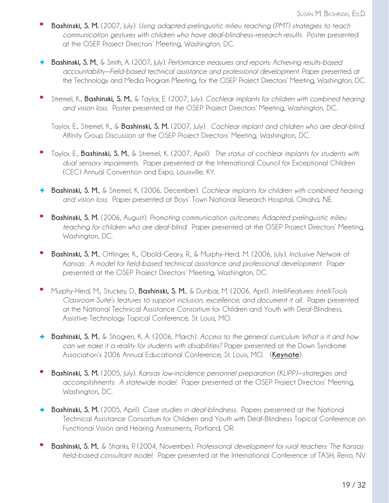- **\* Bashinski, S. M.** (2007, July). *Using adapted prelinguistic milieu teaching (PMT) strategies to teach communication gestures with children who have deaf-blindness-research results*. Poster presented at the OSEP Project Directors' Meeting, Washington, DC.
- **+ Bashinski, S. M.**, & Smith, A. (2007, July). *Performance measures and reports: Achieving results-based accountability—Field-based technical assistance and professional development*. Paper presented at the Technology and Media Program Meeting, for the OSEP Project Directors' Meeting, Washington, DC.
- **\*** Stremel, K., **Bashinski, S. M.**, & Taylor, E. (2007, July). *Cochlear implants for children with combined hearing and vision loss*. Poster presented at the OSEP Project Directors' Meeting, Washington, DC.

Taylor, E., Stremel, K., & **Bashinski, S. M.** (2007, July). *Cochlear implant and children who are deaf-blind*. Affinity Group Discussion at the OSEP Project Directors' Meeting, Washington, DC.

- **\*** Taylor, E., **Bashinski, S. M.**, & Stremel, K. (2007, April). *The status of cochlear implants for students with dual sensory impairments*. Paper presented at the International Council for Exceptional Children (CEC) Annual Convention and Expo, Louisville, KY.
- **+ Bashinski, S. M.**, & Stremel, K. (2006, December). *Cochlear implants for children with combined hearing and vision loss*. Paper presented at Boys' Town National Research Hospital, Omaha, NE.
- **\* Bashinski, S. M.** (2006, August). *Promoting communication outcomes: Adapted prelinguistic milieu teaching for children who are deaf-blind*. Paper presented at the OSEP Project Directors' Meeting, Washington, DC.
- **\* Bashinski, S. M.**, Ottlinger, K., Obold-Geary, R., & Murphy-Herd, M. (2006, July). *Inclusive Network of Kansas: A model for field-based technical assistance and professional development*. Paper presented at the OSEP Project Directors' Meeting, Washington, DC.
- **\*** Murphy-Herd, M., Stuckey, D., **Bashinski, S. M.**, & Dunbar, M. (2006, April). *IntelliFeatures: IntelliTools Classroom Suite's features to support inclusion, excellence, and document it all*. Paper presented at the National Technical Assistance Consortium for Children and Youth with Deaf-Blindness, Assistive Technology Topical Conference, St. Louis, MO.
- **+ Bashinski, S. M.**, & Shogren, K. A. (2006, March). *Access to the general curriculum: What is it and how can we make it a reality for students with disabilities?* Paper presented at the Down Syndrome Association's 2006 Annual Educational Conference, St. Louis, MO. (**Keynote**)
- **\* Bashinski, S. M.** (2005, July). *Kansas low-incidence personnel preparation (KLIPP)—strategies and accomplishments: A statewide model*. Paper presented at the OSEP Project Directors' Meeting, Washington, DC.
- **+ Bashinski, S. M.** (2005, April). *Case studies in deaf-blindness*. Papers presented at the National Technical Assistance Consortium for Children and Youth with Deaf-Blindness Topical Conference on Functional Vision and Hearing Assessments, Portland, OR.
- **\* Bashinski, S. M.**, & Shanks, P. (2004, November). *Professional development for rural teachers: The Kansas field-based consultant model*. Paper presented at the International Conference of TASH, Reno, NV.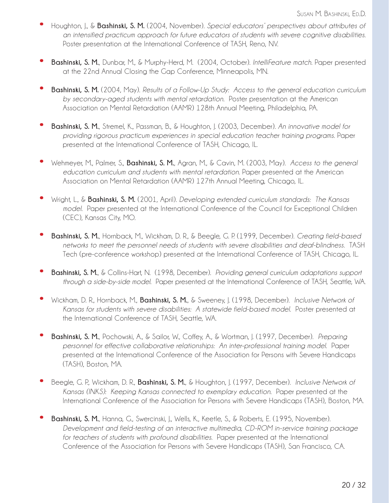- **\*** Houghton, J., & **Bashinski, S. M.** (2004, November). *Special educators' perspectives about attributes of an intensified practicum approach for future educators of students with severe cognitive disabilities*. Poster presentation at the International Conference of TASH, Reno, NV.
- **\* Bashinski, S. M.**, Dunbar, M., & Murphy-Herd, M. (2004, October). *IntelliFeature match*. Paper presented at the 22nd Annual Closing the Gap Conference, Minneapolis, MN.
- **\* Bashinski, S. M.** (2004, May). *Results of a Follow-Up Study: Access to the general education curriculum by secondary-aged students with mental retardation*. Poster presentation at the American Association on Mental Retardation (AAMR) 128th Annual Meeting, Philadelphia, PA.
- **\* Bashinski, S. M.**, Stremel, K., Passman, B., & Houghton, J. (2003, December). *An innovative model for providing rigorous practicum experiences in special education teacher training programs*. Paper presented at the International Conference of TASH, Chicago, IL.
- **\*** Wehmeyer, M., Palmer, S., **Bashinski, S. M.**, Agran, M., & Cavin, M. (2003, May). *Access to the general education curriculum and students with mental retardation*. Paper presented at the American Association on Mental Retardation (AAMR) 127th Annual Meeting, Chicago, IL.
- **\*** Wright, L., & **Bashinski, S. M.** (2001, April). *Developing extended curriculum standards: The Kansas model*. Paper presented at the International Conference of the Council for Exceptional Children (CEC), Kansas City, MO.
- **\* Bashinski, S. M.**, Hornback, M., Wickham, D. R., & Beegle, G. P. (1999, December). *Creating field-based networks to meet the personnel needs of students with severe disabilities and deaf-blindness*. TASH Tech (pre-conference workshop) presented at the International Conference of TASH, Chicago, IL.
- **\* Bashinski, S. M.**, & Collins-Hart, N. (1998, December). *Providing general curriculum adaptations support through a side-by-side model*. Paper presented at the International Conference of TASH, Seattle, WA.
- **\*** Wickham, D. R., Hornback, M., **Bashinski, S. M.**, & Sweeney, J. (1998, December). *Inclusive Network of Kansas for students with severe disabilities: A statewide field-based model*. Poster presented at the International Conference of TASH, Seattle, WA.
- **\* Bashinski, S. M.**, Pochowski, A., & Sailor, W., Coffey, A., & Wortman, J. (1997, December). *Preparing personnel for effective collaborative relationships: An inter-professional training model*. Paper presented at the International Conference of the Association for Persons with Severe Handicaps (TASH), Boston, MA.
- **\*** Beegle, G. P., Wickham, D. R., **Bashinski, S. M.**, & Houghton, J. (1997, December). *Inclusive Network of Kansas (INKS): Keeping Kansas connected to exemplary education*. Paper presented at the International Conference of the Association for Persons with Severe Handicaps (TASH), Boston, MA.
- Bashinski, S. M., Hanna, G., Swercinski, J., Wells, K., Keetle, S., & Roberts, E. (1995, November). *Development and field-testing of an interactive multimedia, CD-ROM in-service training package for teachers of students with profound disabilities*. Paper presented at the International Conference of the Association for Persons with Severe Handicaps (TASH), San Francisco, CA.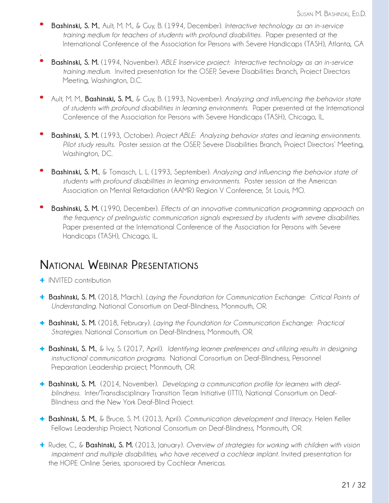- **\* Bashinski, S. M.**, Ault, M. M., & Guy, B. (1994, December). *Interactive technology as an in-service training medium for teachers of students with profound disabilities*. Paper presented at the International Conference of the Association for Persons with Severe Handicaps (TASH), Atlanta, GA
- **\* Bashinski, S. M.** (1994, November). *ABLE Inservice project: Interactive technology as an in-service training medium*. Invited presentation for the OSEP, Severe Disabilities Branch, Project Directors Meeting, Washington, D.C.
- **\*** Ault, M. M., **Bashinski, S. M.**, & Guy, B. (1993, November). *Analyzing and influencing the behavior state of students with profound disabilities in learning environments*. Paper presented at the International Conference of the Association for Persons with Severe Handicaps (TASH), Chicago, IL.
- **\* Bashinski, S. M.** (1993, October). *Project ABLE: Analyzing behavior states and learning environments. Pilot study results*. Poster session at the OSEP, Severe Disabilities Branch, Project Directors' Meeting, Washington, DC.
- **\* Bashinski, S. M.**, & Tomasch, L. L. (1993, September). *Analyzing and influencing the behavior state of students with profound disabilities in learning environments*. Poster session at the American Association on Mental Retardation (AAMR) Region V Conference, St. Louis, MO.
- **\* Bashinski, S. M.** (1990, December). *Effects of an innovative communication programming approach on the frequency of prelinguistic communication signals expressed by students with severe disabilities*. Paper presented at the International Conference of the Association for Persons with Severe Handicaps (TASH), Chicago, IL.

#### **National Webinar Presentations**

**+** INVITED contribution

.

- **+ Bashinski, S. M.** (2018, March). *Laying the Foundation for Communication Exchange: Critical Points of Understanding*. National Consortium on Deaf-Blindness, Monmouth, OR.
- **+ Bashinski, S. M.** (2018, February). *Laying the Foundation for Communication Exchange: Practical Strategies*. National Consortium on Deaf-Blindness, Monmouth, OR.
- **+ Bashinski, S. M.**, & Ivy, S. (2017, April). *Identifying learner preferences and utilizing results in designing instructional communication programs.* National Consortium on Deaf-Blindness, Personnel Preparation Leadership project, Monmouth, OR.
- **+ Bashinski, S. M.** (2014, November). *Developing a communication profile for learners with deaf blindness*. Inter/Transdisciplinary Transition Team Initiative (ITTI), National Consortium on Deaf- Blindness and the New York Deaf-Blind Project.
- **+ Bashinski, S. M.**, & Bruce, S. M. (2013, April). *Communication development and literacy*. Helen Keller Fellows Leadership Project, National Consortium on Deaf-Blindness, Monmouth, OR.
- **+** Ruder, C., & **Bashinski, S. M.** (2013, January). *Overview of strategies for working with children with vision impairment and multiple disabilities, who have received a cochlear implant*. Invited presentation for the HOPE Online Series, sponsored by Cochlear Americas.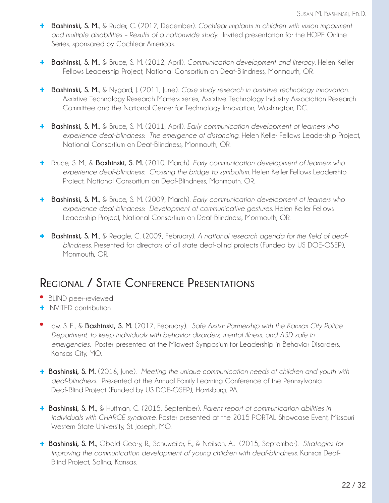- **+ Bashinski, S. M.**, & Ruder, C. (2012, December). *Cochlear implants in children with vision impairment and multiple disabilities – Results of a nationwide study*. Invited presentation for the HOPE Online Series, sponsored by Cochlear Americas.
- **+ Bashinski, S. M.**, & Bruce, S. M. (2012, April). *Communication development and literacy*. Helen Keller Fellows Leadership Project, National Consortium on Deaf-Blindness, Monmouth, OR.
- **+ Bashinski, S. M.**, & Nygard, J. (2011, June). *Case study research in assistive technology innovation*. Assistive Technology Research Matters series, Assistive Technology Industry Association Research Committee and the National Center for Technology Innovation, Washington, DC.
- **+ Bashinski, S. M.**, & Bruce, S. M. (2011, April). *Early communication development of learners who experience deaf-blindness: The emergence of distancing*. Helen Keller Fellows Leadership Project, National Consortium on Deaf-Blindness, Monmouth, OR.
- **+** Bruce, S. M., & **Bashinski, S. M.** (2010, March). *Early communication development of learners who experience deaf-blindness: Crossing the bridge to symbolism*. Helen Keller Fellows Leadership Project, National Consortium on Deaf-Blindness, Monmouth, OR.
- **+ Bashinski, S. M.**, & Bruce, S. M. (2009, March). *Early communication development of learners who experience deaf-blindness: Development of communicative gestures*. Helen Keller Fellows Leadership Project, National Consortium on Deaf-Blindness, Monmouth, OR.
- **+ Bashinski, S. M.**, & Reagle, C. (2009, February). *A national research agenda for the field of deaf blindness*. Presented for directors of all state deaf-blind projects (Funded by US DOE-OSEP), Monmouth, OR.

# **Regional / State Conference Presentations**

- **\*** BLIND peer-reviewed
- **+** INVITED contribution
- **\*** Law, S. E., & **Bashinski, S. M.** (2017, February). *Safe Assist: Partnership with the Kansas City Police Department, to keep individuals with behavior disorders, mental illness, and ASD safe in emergencies*. Poster presented at the Midwest Symposium for Leadership in Behavior Disorders, Kansas City, MO.
- **+ Bashinski, S. M.** (2016, June). *Meeting the unique communication needs of children and youth with deaf-blindness*. Presented at the Annual Family Learning Conference of the Pennsylvania Deaf-Blind Project (Funded by US DOE-OSEP), Harrisburg, PA.
- **+ Bashinski, S. M.**, & Huffman, C. (2015, September). *Parent report of communication abilities in individuals with CHARGE syndrome*. Poster presented at the 2015 PORTAL Showcase Event, Missouri Western State University, St. Joseph, MO.
- **+ Bashinski, S. M.**, Obold-Geary, R., Schuweiler, E., & Neilsen, A.. (2015, September). *Strategies for improving the communication development of young children with deaf-blindness*. Kansas Deaf- Blind Project, Salina, Kansas.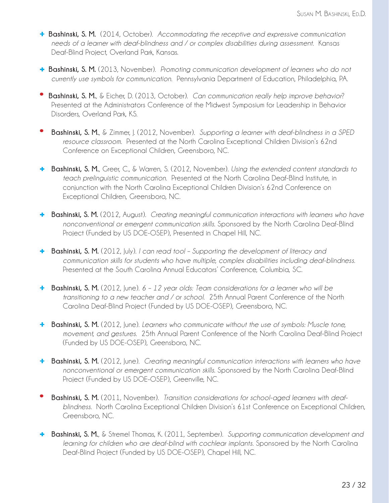- **+ Bashinski, S. M.** (2014, October). *Accommodating the receptive and expressive communication needs of a learner with deaf-blindness and / or complex disabilities during assessment*. Kansas Deaf-Blind Project, Overland Park, Kansas.
- **+ Bashinski, S. M.** (2013, November). *Promoting communication development of learners who do not currently use symbols for communication*. Pennsylvania Department of Education, Philadelphia, PA.
- **\* Bashinski, S. M.**, & Eicher, D. (2013, October). *Can communication really help improve behavior*? Presented at the Administrators Conference of the Midwest Symposium for Leadership in Behavior Disorders, Overland Park, KS.
- **\* Bashinski, S. M.**, & Zimmer, J. (2012, November). *Supporting a learner with deaf-blindness in a SPED resource classroom*. Presented at the North Carolina Exceptional Children Division's 62nd Conference on Exceptional Children, Greensboro, NC.
- **+ Bashinski, S. M.**, Greer, C., & Warren, S. (2012, November). *Using the extended content standards to teach prelinguistic communication*. Presented at the North Carolina Deaf-Blind Institute, in conjunction with the North Carolina Exceptional Children Division's 62nd Conference on Exceptional Children, Greensboro, NC.
- **+ Bashinski, S. M.** (2012, August). *Creating meaningful communication interactions with learners who have nonconventional or emergent communication skills*. Sponsored by the North Carolina Deaf-Blind Project (Funded by US DOE-OSEP), Presented in Chapel Hill, NC.
- **+ Bashinski, S. M.** (2012, July). *I can read too! Supporting the development of literacy and communication skills for students who have multiple, complex disabilities including deaf-blindness*. Presented at the South Carolina Annual Educators' Conference, Columbia, SC.
- **+ Bashinski, S. M.** (2012, June). *6 12 year olds: Team considerations for a learner who will be transitioning to a new teacher and / or school*. 25th Annual Parent Conference of the North Carolina Deaf-Blind Project (Funded by US DOE-OSEP), Greensboro, NC.
- **+ Bashinski, S. M.** (2012, June). *Learners who communicate without the use of symbols: Muscle tone, movement, and gestures*. 25th Annual Parent Conference of the North Carolina Deaf-Blind Project (Funded by US DOE-OSEP), Greensboro, NC.
- **+ Bashinski, S. M.** (2012, June). *Creating meaningful communication interactions with learners who have nonconventional or emergent communication skills*. Sponsored by the North Carolina Deaf-Blind Project (Funded by US DOE-OSEP), Greenville, NC.
- **\* Bashinski, S. M.** (2011, November). *Transition considerations for school-aged learners with deaf blindness*. North Carolina Exceptional Children Division's 61st Conference on Exceptional Children, Greensboro, NC.
- **+ Bashinski, S. M.**, & Stremel Thomas, K. (2011, September). *Supporting communication development and learning for children who are deaf-blind with cochlear implants*. Sponsored by the North Carolina Deaf-Blind Project (Funded by US DOE-OSEP), Chapel Hill, NC.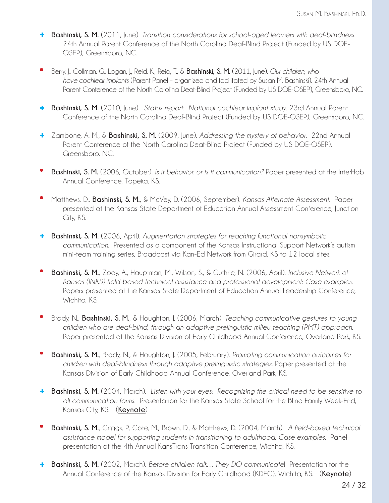- **+ Bashinski, S. M.** (2011, June). *Transition considerations for school-aged learners with deaf-blindness*. 24th Annual Parent Conference of the North Carolina Deaf-Blind Project (Funded by US DOE- OSEP), Greensboro, NC.
- **\*** Berry, J., Collman, G., Logan, J., Reid, K., Reid, T., & **Bashinski, S. M.** (2011, June). *Our children, who have cochlear implants* (Parent Panel – organized and facilitated by Susan M. Bashinski). 24th Annual Parent Conference of the North Carolina Deaf-Blind Project (Funded by US DOE-OSEP), Greensboro, NC.
- **+ Bashinski, S. M.** (2010, June). *Status report: National cochlear implant study*. 23rd Annual Parent Conference of the North Carolina Deaf-Blind Project (Funded by US DOE-OSEP), Greensboro, NC.
- **+** Zambone, A. M., & **Bashinski, S. M.** (2009, June). *Addressing the mystery of behavior*. 22nd Annual Parent Conference of the North Carolina Deaf-Blind Project (Funded by US DOE-OSEP), Greensboro, NC.
- **\* Bashinski, S. M.** (2006, October). *Is it behavior, or is it communication?* Paper presented at the InterHab Annual Conference, Topeka, KS.
- **\*** Matthews, D., **Bashinski, S. M.**, & McVey, D. (2006, September). *Kansas Alternate Assessment*. Paper presented at the Kansas State Department of Education Annual Assessment Conference, Junction City, KS.
- **+ Bashinski, S. M.** (2006, April). *Augmentation strategies for teaching functional nonsymbolic communication*. Presented as a component of the Kansas Instructional Support Network's autism mini-team training series, Broadcast via Kan-Ed Network from Girard, KS to 12 local sites.
- **\* Bashinski, S. M.**, Zody, A., Hauptman, M., Wilson, S., & Guthrie, N. (2006, April). *Inclusive Network of Kansas (INKS) field-based technical assistance and professional development: Case examples*. Papers presented at the Kansas State Department of Education Annual Leadership Conference, Wichita, KS.
- **\*** Brady, N., **Bashinski, S. M.**, & Houghton, J. (2006, March). *Teaching communicative gestures to young children who are deaf-blind, through an adaptive prelinguistic milieu teaching (PMT) approach*. Paper presented at the Kansas Division of Early Childhood Annual Conference, Overland Park, KS.
- **\* Bashinski, S. M.**, Brady, N., & Houghton, J. (2005, February). *Promoting communication outcomes for children with deaf-blindness through adaptive prelinguistic strategies*. Paper presented at the Kansas Division of Early Childhood Annual Conference, Overland Park, KS.
- **+ Bashinski, S. M.** (2004, March). *Listen with your eyes: Recognizing the critical need to be sensitive to all communication forms*. Presentation for the Kansas State School for the Blind Family Week-End, Kansas City, KS. (**Keynote**)
- **\* Bashinski, S. M.**, Griggs, P., Cote, M., Brown, D., & Matthews, D. (2004, March). *A field-based technical assistance model for supporting students in transitioning to adulthood: Case examples*. Panel presentation at the 4th Annual KansTrans Transition Conference, Wichita, KS.
- **+ Bashinski, S. M.** (2002, March). *Before children talk…They DO communicate*! Presentation for the Annual Conference of the Kansas Division for Early Childhood (KDEC), Wichita, KS. (**Keynote**)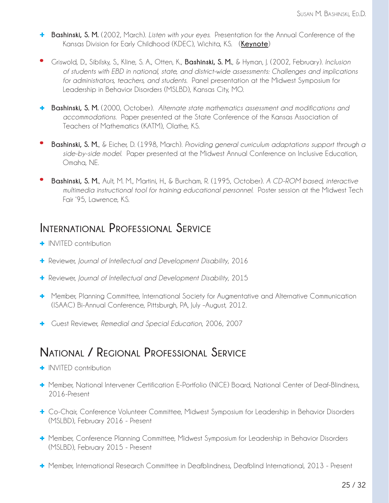- **+ Bashinski, S. M.** (2002, March). *Listen with your eyes.* Presentation for the Annual Conference of the Kansas Division for Early Childhood (KDEC), Wichita, KS. (**Keynote**)
- **\*** Griswold, D., Sibilsky, S., Kline, S. A., Otten, K., **Bashinski, S. M.**, & Hyman, J. (2002, February). *Inclusion of students with EBD in national, state, and district-wide assessments: Challenges and implications for administrators, teachers, and students*. Panel presentation at the Midwest Symposium for Leadership in Behavior Disorders (MSLBD), Kansas City, MO.
- **+ Bashinski, S. M.** (2000, October). *Alternate state mathematics assessment and modifications and accommodations*. Paper presented at the State Conference of the Kansas Association of Teachers of Mathematics (KATM), Olathe, KS.
- **\* Bashinski, S. M.**, & Eicher, D. (1998, March). *Providing general curriculum adaptations support through a side-by-side model*. Paper presented at the Midwest Annual Conference on Inclusive Education, Omaha, NE.
- **\* Bashinski, S. M.**, Ault, M. M., Martini, H., & Burcham, R. (1995, October). *A CD-ROM based, interactive multimedia instructional tool for training educational personnel*. Poster session at the Midwest Tech Fair '95, Lawrence, KS.

#### **International Professional Service**

- **+** INVITED contribution
- **+** Reviewer, *Journal of Intellectual and Development Disability*, 2016
- **+** Reviewer, *Journal of Intellectual and Development Disability*, 2015
- **+** Member, Planning Committee, International Society for Augmentative and Alternative Communication (ISAAC) Bi-Annual Conference, Pittsburgh, PA, July –August, 2012.
- **+** Guest Reviewer, *Remedial and Special Education*, 2006, 2007

## **National / Regional Professional Service**

- **+** INVITED contribution
- **+** Member, National Intervener Certification E-Portfolio (NICE) Board, National Center of Deaf-Blindness, 2016-Present
- **+** Co-Chair, Conference Volunteer Committee, Midwest Symposium for Leadership in Behavior Disorders (MSLBD), February 2016 - Present
- **+** Member, Conference Planning Committee, Midwest Symposium for Leadership in Behavior Disorders (MSLBD), February 2015 - Present
- **+** Member, International Research Committee in Deafblindness, Deafblind International, 2013 Present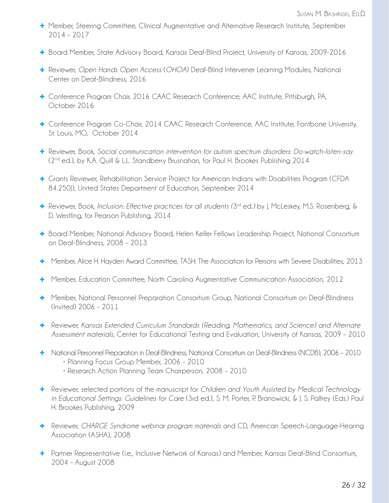- **+** Member, Steering Committee, Clinical Augmentative and Alternative Research Institute, September 2014 – 2017
- **+** Board Member, State Advisory Board, Kansas Deaf-Blind Project, University of Kansas, 2009-2016
- **+** Reviewer, *Open Hands Open Access* (*OHOA*) Deaf-Blind Intervener Learning Modules, National Center on Deaf-Blindness, 2016
- **+** Conference Program Chair, 2016 CAAC Research Conference, AAC Institute, Pittsburgh, PA, October 2016
- **+** Conference Program Co-Chair, 2014 CAAC Research Conference, AAC Institute, Fontbone University, St. Louis, MO, October 2014
- **+** Reviewer, Book, *Social communication intervention for autism spectrum disorders: Do-watch-listen-say*  (2nd ed.), by K.A. Quill & L.L. Standberry Brusnahan, for Paul H. Brookes Publishing 2014
- **+** Grants Reviewer, Rehabilitation Service Project for American Indians with Disabilities Program (CFDA 84.250J), United States Department of Education, September 2014
- **+** Reviewer, Book, *Inclusion: Effective practices for all students (*3rd ed*.)* by J. McLeskey, M.S. Rosenberg, & D. Westling, for Pearson Publishing, 2014
- **+** Board Member, National Advisory Board, Helen Keller Fellows Leadership Project, National Consortium on Deaf-Blindness, 2008 – 2013
- **+** Member, Alice H. Hayden Award Committee, TASH: The Association for Persons with Severe Disabilities, 2013
- **+** Member, Education Committee, North Carolina Augmentative Communication Association, 2012
- **+** Member, National Personnel Preparation Consortium Group, National Consortium on Deaf-Blindness (Invited) 2006 - 2011
- **+** Reviewer, *Kansas Extended Curriculum Standards (Reading, Mathematics, and Science) and Alternate Assessment materials*, Center for Educational Testing and Evaluation, University of Kansas, 2009 – 2010
- **+** National Personnel Preparation in Deaf-Blindness, National Consortium on Deaf-Blindness (NCDB), 2006 2010
	- Planning Focus Group Member, 2006 2010
	- Research Action Planning Team Chairperson, 2008 2010
- **+** Reviewer, selected portions of the manuscript for *Children and Youth Assisted by Medical Technology in Educational Settings: Guidelines for Care* (3rd ed.), S. M. Porter, P. Branowicki, & J. S. Palfrey (Eds.) Paul H. Brookes Publishing, 2009
- **+** Reviewer, *CHARGE Syndrome webinar program materials* and CD, American Speech-Language-Hearing Association (ASHA), 2008
- **+** Partner Representative (i.e., Inclusive Network of Kansas) and Member, Kansas Deaf-Blind Consortium, 2004 – August 2008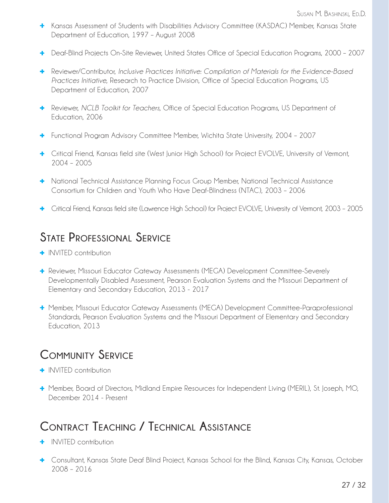- **+** Kansas Assessment of Students with Disabilities Advisory Committee (KASDAC) Member, Kansas State Department of Education, 1997 – August 2008
- **+** Deaf-Blind Projects On-Site Reviewer, United States Office of Special Education Programs, 2000 2007
- **+** Reviewer/Contributor, *Inclusive Practices Initiative: Compilation of Materials for the Evidence-Based Practices Initiative*, Research to Practice Division, Office of Special Education Programs, US Department of Education, 2007
- **+** Reviewer, *NCLB Toolkit for Teachers*, Office of Special Education Programs, US Department of Education, 2006
- **+** Functional Program Advisory Committee Member, Wichita State University, 2004 2007
- **+** Critical Friend, Kansas field site (West Junior High School) for Project EVOLVE, University of Vermont, 2004 – 2005
- **+** National Technical Assistance Planning Focus Group Member, National Technical Assistance Consortium for Children and Youth Who Have Deaf-Blindness (NTAC), 2003 – 2006
- **+** Critical Friend, Kansas field site (Lawrence High School) for Project EVOLVE, University of Vermont, 2003 2005

## **State Professional Service**

- **+** INVITED contribution
- **+** Reviewer, Missouri Educator Gateway Assessments (MEGA) Development Committee-Severely Developmentally Disabled Assessment, Pearson Evaluation Systems and the Missouri Department of Elementary and Secondary Education, 2013 - 2017
- **+** Member, Missouri Educator Gateway Assessments (MEGA) Development Committee-Paraprofessional Standards, Pearson Evaluation Systems and the Missouri Department of Elementary and Secondary Education, 2013

## **Community Service**

- **+** INVITED contribution
- **+** Member, Board of Directors, Midland Empire Resources for Independent Living (MERIL), St. Joseph, MO, December 2014 - Present

# **Contract Teaching / Technical Assistance**

- **+** INVITED contribution
- **+** Consultant, Kansas State Deaf Blind Project, Kansas School for the Blind, Kansas City, Kansas, October 2008 – 2016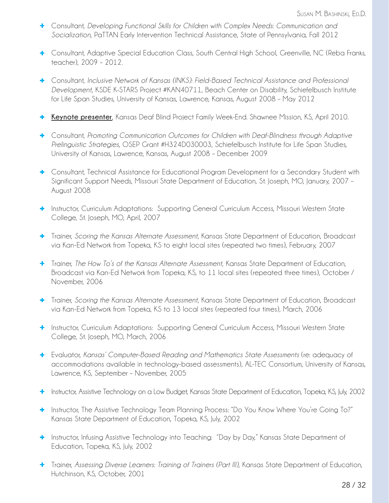- **+** Consultant, *Developing Functional Skills for Children with Complex Needs: Communication and Socialization*, PaTTAN Early Intervention Technical Assistance, State of Pennsylvania, Fall 2012
- **+** Consultant, Adaptive Special Education Class, South Central High School, Greenville, NC (Reba Franks, teacher), 2009 – 2012.
- **+** Consultant, *Inclusive Network of Kansas (INKS): Field-Based Technical Assistance and Professional Development*, KSDE K-STARS Project #KAN40711, Beach Center on Disability, Schiefelbusch Institute for Life Span Studies, University of Kansas, Lawrence, Kansas, August 2008 – May 2012
- **+ Keynote presenter**, Kansas Deaf Blind Project Family Week-End. Shawnee Mission, KS, April 2010.
- **+** Consultant, *Promoting Communication Outcomes for Children with Deaf-Blindness through Adaptive Prelinguistic Strategies*, OSEP Grant #H324D030003, Schiefelbusch Institute for Life Span Studies, University of Kansas, Lawrence, Kansas, August 2008 – December 2009
- **+** Consultant, Technical Assistance for Educational Program Development for a Secondary Student with Significant Support Needs, Missouri State Department of Education, St. Joseph, MO, January, 2007 – August 2008
- **+** Instructor, Curriculum Adaptations: Supporting General Curriculum Access, Missouri Western State College, St. Joseph, MO, April, 2007
- **+** Trainer, *Scoring the Kansas Alternate Assessment*, Kansas State Department of Education, Broadcast via Kan-Ed Network from Topeka, KS to eight local sites (repeated two times), February, 2007
- **+** Trainer, *The How To's of the Kansas Alternate Assessment*, Kansas State Department of Education, Broadcast via Kan-Ed Network from Topeka, KS, to 11 local sites (repeated three times), October / November, 2006
- **+** Trainer, *Scoring the Kansas Alternate Assessment*, Kansas State Department of Education, Broadcast via Kan-Ed Network from Topeka, KS to 13 local sites (repeated four times), March, 2006
- **+** Instructor, Curriculum Adaptations: Supporting General Curriculum Access, Missouri Western State College, St. Joseph, MO, March, 2006
- **+** Evaluator, *Kansas' Computer-Based Reading and Mathematics State Assessments* (re: adequacy of accommodations available in technology-based assessments), AL-TEC Consortium, University of Kansas, Lawrence, KS, September – November, 2005
- **+** Instructor, Assistive Technology on a Low Budget, Kansas State Department of Education, Topeka, KS, July, 2002
- **+** Instructor, The Assistive Technology Team Planning Process: "Do You Know Where You're Going To?" Kansas State Department of Education, Topeka, KS, July, 2002
- **+** Instructor, Infusing Assistive Technology into Teaching: "Day by Day," Kansas State Department of Education, Topeka, KS, July, 2002
- **+** Trainer, *Assessing Diverse Learners: Training of Trainers (Part III),* Kansas State Department of Education, Hutchinson, KS, October, 2001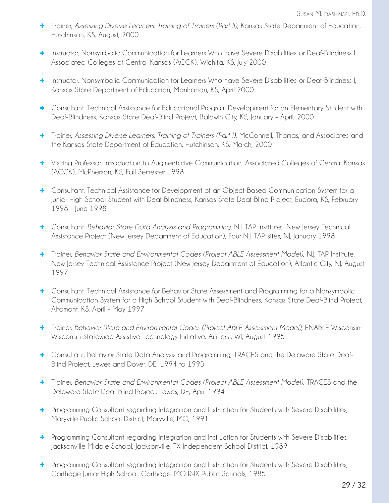- **+** Trainer, *Assessing Diverse Learners: Training of Trainers (Part II),* Kansas State Department of Education, Hutchinson, KS, August, 2000
- **+** Instructor, Nonsymbolic Communication for Learners Who have Severe Disabilities or Deaf-Blindness II, Associated Colleges of Central Kansas (ACCK), Wichita, KS, July 2000
- **+** Instructor, Nonsymbolic Communication for Learners Who have Severe Disabilities or Deaf-Blindness I, Kansas State Department of Education, Manhattan, KS, April 2000
- **+** Consultant, Technical Assistance for Educational Program Development for an Elementary Student with Deaf-Blindness, Kansas State Deaf-Blind Project, Baldwin City, KS, January – April, 2000
- **+** Trainer, *Assessing Diverse Learners: Training of Trainers (Part I),* McConnell, Thomas, and Associates and the Kansas State Department of Education, Hutchinson, KS, March, 2000
- **+** Visiting Professor, Introduction to Augmentative Communication, Associated Colleges of Central Kansas (ACCK), McPherson, KS, Fall Semester 1998
- **+** Consultant, Technical Assistance for Development of an Object-Based Communication System for a Junior High School Student with Deaf-Blindness, Kansas State Deaf-Blind Project, Eudora, KS, February 1998 – June 1998
- **+** Consultant, *Behavior State Data Analysis and Programming*, N.J. TAP Institute: New Jersey Technical Assistance Project (New Jersey Department of Education), Four N.J. TAP sites, NJ, January 1998
- **+** Trainer, *Behavior State and Environmental Codes (Project ABLE Assessment Model)*, N.J. TAP Institute: New Jersey Technical Assistance Project (New Jersey Department of Education), Atlantic City, NJ, August 1997
- **+** Consultant, Technical Assistance for Behavior State Assessment and Programming for a Nonsymbolic Communication System for a High School Student with Deaf-Blindness, Kansas State Deaf-Blind Project, Altamont, KS, April – May 1997
- **+** Trainer, *Behavior State and Environmental Codes (Project ABLE Assessment Model)*, ENABLE Wisconsin: Wisconsin Statewide Assistive Technology Initiative, Amherst, WI, August 1995
- **+** Consultant, Behavior State Data Analysis and Programming, TRACES and the Delaware State Deaf-Blind Project, Lewes and Dover, DE, 1994 to 1995
- **+** Trainer, *Behavior State and Environmental Codes (Project ABLE Assessment Model)*, TRACES and the Delaware State Deaf-Blind Project, Lewes, DE, April 1994
- **+** Programming Consultant regarding Integration and Instruction for Students with Severe Disabilities, Maryville Public School District, Maryville, MO, 1991
- **+** Programming Consultant regarding Integration and Instruction for Students with Severe Disabilities, Jacksonville Middle School, Jacksonville, TX Independent School District, 1989
- **+** Programming Consultant regarding Integration and Instruction for Students with Severe Disabilities, Carthage Junior High School, Carthage, MO R-IX Public Schools, 1985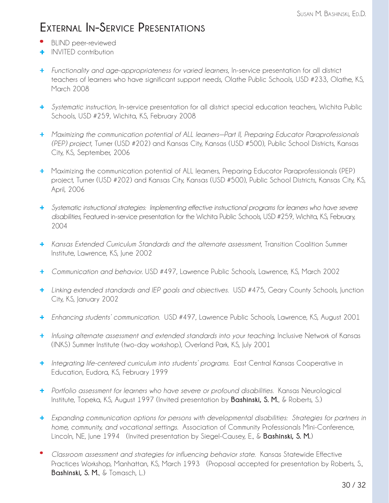## **External In-Service Presentations**

- **\*** BLIND peer-reviewed
- **+** INVITED contribution
- + *Functionality and age-appropriateness for varied learners*, In-service presentation for all district teachers of learners who have significant support needs, Olathe Public Schools, USD #233, Olathe, KS, March 2008
- + *Systematic instruction*, In-service presentation for all district special education teachers, Wichita Public Schools, USD #259, Wichita, KS, February 2008
- + *Maximizing the communication potential of ALL learners—Part II, Preparing Educator Paraprofessionals (PEP) project*, Turner (USD #202) and Kansas City, Kansas (USD #500), Public School Districts, Kansas City, KS, September, 2006
- + Maximizing the communication potential of ALL learners, Preparing Educator Paraprofessionals (PEP) project, Turner (USD #202) and Kansas City, Kansas (USD #500), Public School Districts, Kansas City, KS, April, 2006
- + *Systematic instructional strategies: Implementing effective instructional programs for learners who have severe disabilities*, Featured in-service presentation for the Wichita Public Schools, USD #259, Wichita, KS, February, 2004
- + *Kansas Extended Curriculum Standards and the alternate assessment*, Transition Coalition Summer Institute, Lawrence, KS, June 2002
- + *Communication and behavior*. USD #497, Lawrence Public Schools, Lawrence, KS, March 2002
- + *Linking extended standards and IEP goals and objectives*. USD #475, Geary County Schools, Junction City, KS, January 2002
- + *Enhancing students' communication*. USD #497, Lawrence Public Schools, Lawrence, KS, August 2001
- + *Infusing alternate assessment and extended standards into your teaching*. Inclusive Network of Kansas (INKS) Summer Institute (two-day workshop), Overland Park, KS, July 2001
- + *Integrating life-centered curriculum into students' programs*. East Central Kansas Cooperative in Education, Eudora, KS, February 1999
- + *Portfolio assessment for learners who have severe or profound disabilities*. Kansas Neurological Institute, Topeka, KS, August 1997 (Invited presentation by **Bashinski, S. M.**, & Roberts, S.)
- + *Expanding communication options for persons with developmental disabilities: Strategies for partners in home, community, and vocational settings*. Association of Community Professionals Mini-Conference, Lincoln, NE, June 1994 (Invited presentation by Siegel-Causey, E., & **Bashinski, S. M.**)
- \* *Classroom assessment and strategies for influencing behavior state*. Kansas Statewide Effective Practices Workshop, Manhattan, KS, March 1993 (Proposal accepted for presentation by Roberts, S., **Bashinski, S. M.**, & Tomasch, L.)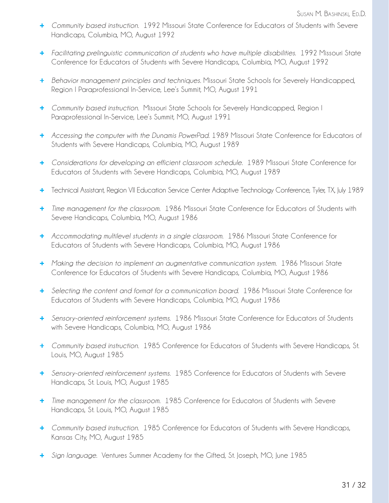- + *Community based instruction*. 1992 Missouri State Conference for Educators of Students with Severe Handicaps, Columbia, MO, August 1992
- + *Facilitating prelinguistic communication of students who have multiple disabilities*. 1992 Missouri State Conference for Educators of Students with Severe Handicaps, Columbia, MO, August 1992
- + *Behavior management principles and techniques*. Missouri State Schools for Severely Handicapped, Region I Paraprofessional In-Service, Lee's Summit, MO, August 1991
- + *Community based instruction*. Missouri State Schools for Severely Handicapped, Region I Paraprofessional In-Service, Lee's Summit, MO, August 1991
- + *Accessing the computer with the Dunamis PowerPad*. 1989 Missouri State Conference for Educators of Students with Severe Handicaps, Columbia, MO, August 1989
- + *Considerations for developing an efficient classroom schedule*. 1989 Missouri State Conference for Educators of Students with Severe Handicaps, Columbia, MO, August 1989
- + Technical Assistant, Region VII Education Service Center Adaptive Technology Conference, Tyler, TX, July 1989
- + *Time management for the classroom*. 1986 Missouri State Conference for Educators of Students with Severe Handicaps, Columbia, MO, August 1986
- + *Accommodating multilevel students in a single classroom*. 1986 Missouri State Conference for Educators of Students with Severe Handicaps, Columbia, MO, August 1986
- + *Making the decision to implement an augmentative communication system*. 1986 Missouri State Conference for Educators of Students with Severe Handicaps, Columbia, MO, August 1986
- + *Selecting the content and format for a communication board*. 1986 Missouri State Conference for Educators of Students with Severe Handicaps, Columbia, MO, August 1986
- + *Sensory-oriented reinforcement systems*. 1986 Missouri State Conference for Educators of Students with Severe Handicaps, Columbia, MO, August 1986
- + *Community based instruction*. 1985 Conference for Educators of Students with Severe Handicaps, St. Louis, MO, August 1985
- + *Sensory-oriented reinforcement systems*. 1985 Conference for Educators of Students with Severe Handicaps, St. Louis, MO, August 1985
- + *Time management for the classroom*. 1985 Conference for Educators of Students with Severe Handicaps, St. Louis, MO, August 1985
- + *Community based instruction*. 1985 Conference for Educators of Students with Severe Handicaps, Kansas City, MO, August 1985
- + *Sign language*. Ventures Summer Academy for the Gifted, St. Joseph, MO, June 1985